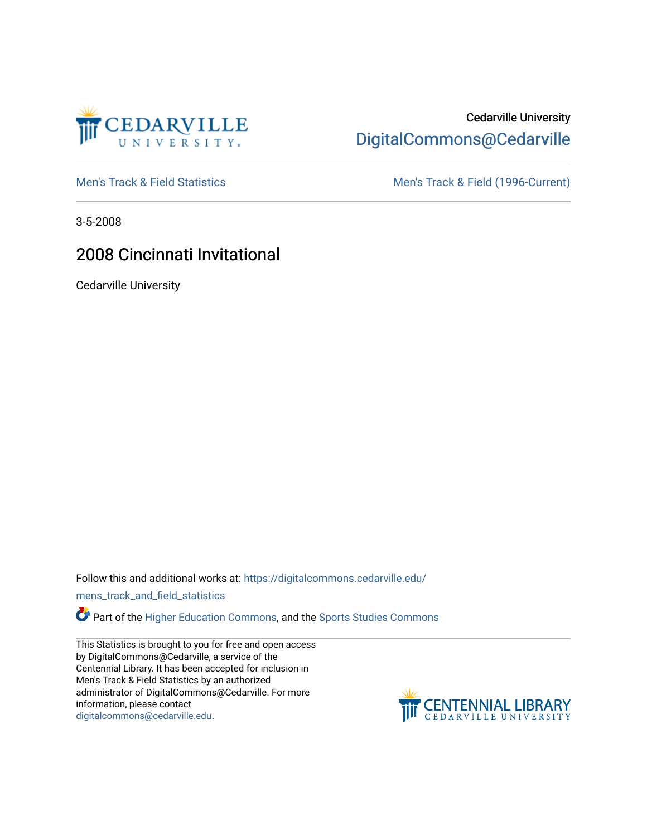

## Cedarville University [DigitalCommons@Cedarville](https://digitalcommons.cedarville.edu/)

[Men's Track & Field Statistics](https://digitalcommons.cedarville.edu/mens_track_and_field_statistics) [Men's Track & Field \(1996-Current\)](https://digitalcommons.cedarville.edu/mens_track_and_field) 

3-5-2008

# 2008 Cincinnati Invitational

Cedarville University

Follow this and additional works at: [https://digitalcommons.cedarville.edu/](https://digitalcommons.cedarville.edu/mens_track_and_field_statistics?utm_source=digitalcommons.cedarville.edu%2Fmens_track_and_field_statistics%2F199&utm_medium=PDF&utm_campaign=PDFCoverPages)

[mens\\_track\\_and\\_field\\_statistics](https://digitalcommons.cedarville.edu/mens_track_and_field_statistics?utm_source=digitalcommons.cedarville.edu%2Fmens_track_and_field_statistics%2F199&utm_medium=PDF&utm_campaign=PDFCoverPages)

Part of the [Higher Education Commons,](http://network.bepress.com/hgg/discipline/1245?utm_source=digitalcommons.cedarville.edu%2Fmens_track_and_field_statistics%2F199&utm_medium=PDF&utm_campaign=PDFCoverPages) and the Sports Studies Commons

This Statistics is brought to you for free and open access by DigitalCommons@Cedarville, a service of the Centennial Library. It has been accepted for inclusion in Men's Track & Field Statistics by an authorized administrator of DigitalCommons@Cedarville. For more information, please contact [digitalcommons@cedarville.edu](mailto:digitalcommons@cedarville.edu).

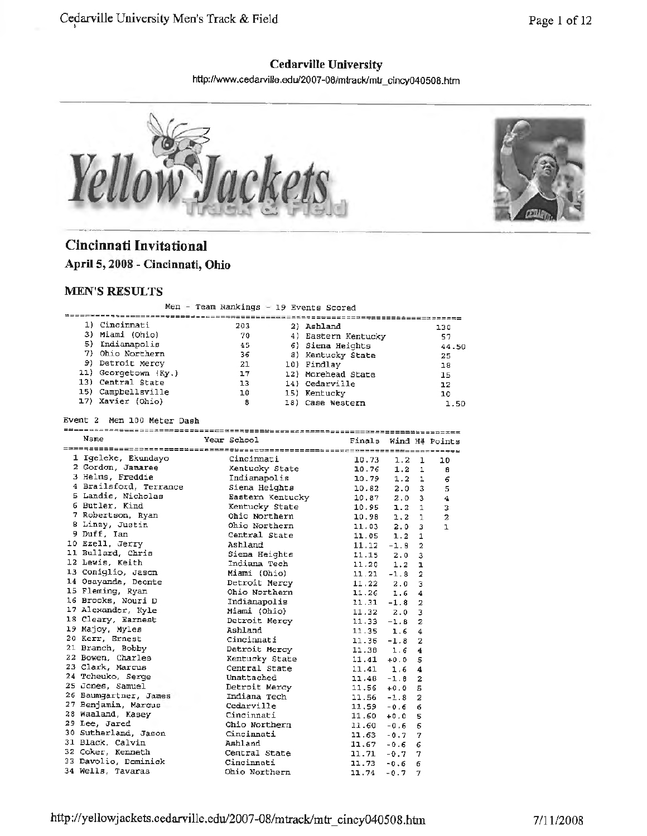## **Cedarville University**

http://www.cedarviHe.edu/2007-08/mtrack/mtr \_ cincy040508.htm \_\_\_ ,,. \_\_\_\_\_\_\_\_\_\_\_\_\_\_\_\_\_\_\_\_\_\_\_\_\_\_\_\_\_\_ \_



# **Cincinnati Invitational**

**April 5, 2008 - Cincinnati, Ohio** 

## **MEN'S RESULTS**

Men - Team Rankings - 19 Events Scored

| 1) Cincinnati        | 203 | 2) Ashland          | 130   |
|----------------------|-----|---------------------|-------|
| 3) Miami (Ohio)      | 70  | 4) Eastern Kentucky | 57    |
| 5) Indianapolis      | 45  | 6) Siena Heights    | 44.50 |
| 7) Ohio Northern     | 36  | 8) Kentucky State   | 25    |
| 9) Detroit Mercy     | 21  | 10) Findlay         | 18    |
| 11) Georgetown (Ky.) | 17  | 12) Morehead State  | 15    |
| 13) Central State    | 13  | 14) Cedarville      | 12    |
| 15) Campbellsville   | 10  | 15) Kentucky        | 10    |
| 17) Xavier (Ohio)    | 8   | 18) Case Western    | 1.50  |

Event 2 Men 100 Meter Dash

| Nsme                                  | Year School Tinals Wind H# Points               |       |                  |                |                         |
|---------------------------------------|-------------------------------------------------|-------|------------------|----------------|-------------------------|
|                                       |                                                 |       |                  |                |                         |
| 1 Igeleke, Ekundayo     Cincinnati    |                                                 | 10.73 | $1.2 -$          | 1              | 10                      |
| 2 Gordon, Jamaree                     | -------------<br>Kentucky State<br>Indianapolis |       | $10.76$ $1.2$ 1  |                | 8                       |
| 3 Helms, Freddie                      |                                                 | 10.79 | 1.2 <sub>1</sub> |                | 6                       |
| 4 Brailsford, Terrance Siena Heights  |                                                 | 10.82 | $2.0 \t3$        |                | 5                       |
| 5 Landis, Nicholas                    |                                                 | 10.87 | $2.0 \quad 3$    |                | $\overline{\mathbf{4}}$ |
| 6 Butler, Kind                        | Eastern Kentucky<br>Kentucky State              | 10.95 | $1.2 \quad 1$    |                | 3                       |
| 7 Robertson, Ryan                     | Ohio Northern                                   | 10.98 | 1.2 1            |                | $\overline{\mathbf{c}}$ |
| 8 Linzy, Justin                       | Ohio Northern                                   | 11.03 | $2.0 \quad 3$    |                | $\mathbf{I}$            |
| 9 Duff, Ian                           | Central State                                   | 11.05 | $1.2 \quad 1$    |                |                         |
| 10 Ezell, Jerry                       | Ashland                                         | 11.12 | $-1.8$           | $\overline{a}$ |                         |
| 11 Bullard, Chris                     | Siena Heights                                   |       | $11.15$ 2.0      | 3              |                         |
| 12 Lewis, Keith                       | Indiana Tech                                    |       | $11.20$ $1.2$    | ı              |                         |
| 13 Coniglio, Jason                    | Miami (Ohio)                                    |       | $11.21 - 1.8$ 2  |                |                         |
| 14 Osayande, Deonte betroit Mercy     |                                                 |       | $11.22$ 2.0 3    |                |                         |
| 15 Fleming, Ryan                      | Ohio Northern                                   |       | $11.26$ $1.6$ 4  |                |                         |
| 16 Brooks, Nouri D                    | Indianapolis                                    |       | $11.31 - 1.8$ 2  |                |                         |
| 17 Alexander, Kyle                    | Miami (Ohio)                                    |       | $11.32$ 2.0 3    |                |                         |
| 18 Cleary, Earnest                    | Detroit Mercy                                   |       | $11.33 - 1.8$ 2  |                |                         |
| 19 Majoy, Myles                       | Ashland                                         |       | $11.35$ 1.6 4    |                |                         |
| 20 Kerr, Ernest                       | Cincinnati                                      |       | $11.36 - 1.8$ 2  |                |                         |
| 21 Branch, Bobby                      | Detroit Mercy                                   |       | $11.38$ $1.6$ 4  |                |                         |
| 22 Bowen, Charles                     | Kentucky State                                  |       | $11.41 + 0.05$   |                |                         |
| 23 Clark, Marcus                      | Central State                                   |       | $11.41$ 1.6 4    |                |                         |
| 24 Tcheuko, Serge                     | Unattached                                      |       | $11.48 - 1.8$ 2  |                |                         |
| 25 Jones, Samuel<br><b>CONTRACTOR</b> | Detroit Mercy                                   |       | $11.56 + 0.05$   |                |                         |
| 26 Baumgartner, James                 | Indiana Tech                                    |       | $11.56 - 1.8$    | $\overline{2}$ |                         |
| 27 Benjamin, Marcus                   | Cedarville                                      |       | $11,59 -0.66$    |                |                         |
| 28 Waaland, Kasey Cincinnati          |                                                 |       | $11.60 + 0.0$    | -5             |                         |
| 29 Lee, Jared                         | Ohio Northern                                   |       | $11.60 - 0.66$   |                |                         |
| 30 Sutherland, Jason Cincinnati       |                                                 |       | $11.63 - 0.7$    | -7             |                         |
| 31 Black, Calvin                      | Ashland                                         |       | $11.67 - 0.6$    | 6              |                         |
| 32 Coker, Kenneth                     | Central State                                   |       | $11.71 - 0.7 7$  |                |                         |
| 33 Davolio, Dominick Cincinnati       |                                                 |       | $11.73 - 0.6$    | 6              |                         |
| 34 Wells, Tavaras                     | Ohio Northern                                   | 11.74 | $-0.7$           | 7              |                         |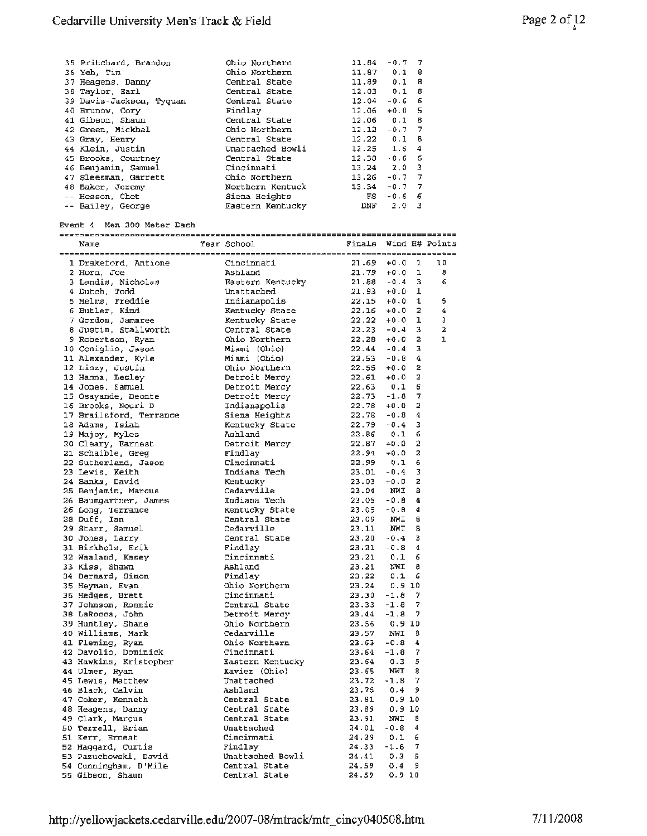| 35 Pritchard, Brandon    | Ohio Northern    | 11.84               | $-0.7$ 7 |                         |
|--------------------------|------------------|---------------------|----------|-------------------------|
| 36 Yeh, Tim              | Ohio Northern    | $11.87$ 0.1 8       |          |                         |
| 37 Heagens, Danny        | Central State    | $11.89$ 0.1 8       |          |                         |
| 38 Taylor, Earl          | Central State    | $12.03$ $0.1$       |          | 8                       |
| 39 Davis-Jackson, Tyquan | Central State    | 12.04               | $-0.6$   | -6                      |
| 40 Brunow, Cory          | Findlay          | 12.06               | $+0.0$ 5 |                         |
| 41 Gibson, Shaun         | Central State    | $12.06$ $0.1$ 8     |          |                         |
| 42 Green, Mickhel        | Ohio Northern    | 12.12               | $-0.7$ 7 |                         |
| 43 Gray, Henry           | Central State    | $12.22 \t 0.1 \t 8$ |          |                         |
| 44 Klein, Justin         | Unattached Bowli | $12.25$ 1.6         |          | 4                       |
| 45 Brooks, Courtney      | Central State    | 12.38               | $-0.6$ 6 |                         |
| 46 Benjamin, Samuel      | Cincinnati       | $13.24$ $2.0$ 3     |          |                         |
| 47 Sleesman, Garrett     | Ohio Northern    | 13.26               | $-0.7$ 7 |                         |
| 48 Baker, Jeremy         | Northern Kentuck | 13.34               | $-0.7$ 7 |                         |
| -- Hesson, Chet          | Siena Heights    | FS                  | $-0.66$  |                         |
| -- Bailey, George        | Eastern Kentucky | DNF                 | 2.0      | $\overline{\mathbf{3}}$ |

### Event **4** Men 200 Meter Dash

| Name                                                                                                                                                                                                                                                                                                                                                                                                                                             | Year School                                                                                                                                                                                                                      | Finals Wind H# Points                                                                                                                                                                                                                                      |        |                         |                         |
|--------------------------------------------------------------------------------------------------------------------------------------------------------------------------------------------------------------------------------------------------------------------------------------------------------------------------------------------------------------------------------------------------------------------------------------------------|----------------------------------------------------------------------------------------------------------------------------------------------------------------------------------------------------------------------------------|------------------------------------------------------------------------------------------------------------------------------------------------------------------------------------------------------------------------------------------------------------|--------|-------------------------|-------------------------|
| Name<br>Increases-<br>Incident of the Cincinnati<br>2 Horn, Joe and Mahland<br>3 Landis, Nicholas Eastern Kentucky<br>4 Dutch, Todd<br>5 Helms, Freddie Indianapolis<br>5 Butler, Kind Kentucky State<br>7 Gordon, Jamare Kentucky State<br>7 Go                                                                                                                                                                                                 |                                                                                                                                                                                                                                  |                                                                                                                                                                                                                                                            |        |                         |                         |
|                                                                                                                                                                                                                                                                                                                                                                                                                                                  |                                                                                                                                                                                                                                  | $21.69$ +0.0<br>$21.79$ +0.0                                                                                                                                                                                                                               |        | 1                       | 10                      |
|                                                                                                                                                                                                                                                                                                                                                                                                                                                  |                                                                                                                                                                                                                                  | 21.69 +0.0 1<br>21.79 +0.0 1<br>21.79 +0.0 1<br>21.88 -0.4 3<br>21.93 +0.0 1<br>22.15 +0.0 1<br>22.15 +0.0 1<br>22.22 +0.0 1<br>22.22 +0.0 1<br>22.23 -0.4 3<br>22.25 +0.0 2<br>22.25 -0.8 4<br>22.55 +0.0 2<br>22.55 +0.0 2<br>22.55 +0.0 2<br>22.55 -0.8 |        | ı                       | 8                       |
|                                                                                                                                                                                                                                                                                                                                                                                                                                                  |                                                                                                                                                                                                                                  |                                                                                                                                                                                                                                                            |        |                         | 6                       |
|                                                                                                                                                                                                                                                                                                                                                                                                                                                  |                                                                                                                                                                                                                                  |                                                                                                                                                                                                                                                            |        |                         |                         |
|                                                                                                                                                                                                                                                                                                                                                                                                                                                  |                                                                                                                                                                                                                                  |                                                                                                                                                                                                                                                            |        |                         | 5                       |
|                                                                                                                                                                                                                                                                                                                                                                                                                                                  |                                                                                                                                                                                                                                  |                                                                                                                                                                                                                                                            |        |                         | $\overline{\bf 4}$      |
|                                                                                                                                                                                                                                                                                                                                                                                                                                                  |                                                                                                                                                                                                                                  |                                                                                                                                                                                                                                                            |        |                         | 3                       |
|                                                                                                                                                                                                                                                                                                                                                                                                                                                  |                                                                                                                                                                                                                                  |                                                                                                                                                                                                                                                            |        |                         | $\overline{\mathbf{z}}$ |
|                                                                                                                                                                                                                                                                                                                                                                                                                                                  |                                                                                                                                                                                                                                  |                                                                                                                                                                                                                                                            |        |                         | 1                       |
|                                                                                                                                                                                                                                                                                                                                                                                                                                                  |                                                                                                                                                                                                                                  |                                                                                                                                                                                                                                                            |        |                         |                         |
|                                                                                                                                                                                                                                                                                                                                                                                                                                                  |                                                                                                                                                                                                                                  |                                                                                                                                                                                                                                                            |        |                         |                         |
|                                                                                                                                                                                                                                                                                                                                                                                                                                                  |                                                                                                                                                                                                                                  |                                                                                                                                                                                                                                                            |        |                         |                         |
|                                                                                                                                                                                                                                                                                                                                                                                                                                                  |                                                                                                                                                                                                                                  |                                                                                                                                                                                                                                                            |        |                         |                         |
|                                                                                                                                                                                                                                                                                                                                                                                                                                                  |                                                                                                                                                                                                                                  |                                                                                                                                                                                                                                                            |        |                         |                         |
|                                                                                                                                                                                                                                                                                                                                                                                                                                                  |                                                                                                                                                                                                                                  |                                                                                                                                                                                                                                                            |        |                         |                         |
|                                                                                                                                                                                                                                                                                                                                                                                                                                                  |                                                                                                                                                                                                                                  |                                                                                                                                                                                                                                                            |        |                         |                         |
|                                                                                                                                                                                                                                                                                                                                                                                                                                                  |                                                                                                                                                                                                                                  |                                                                                                                                                                                                                                                            |        |                         |                         |
|                                                                                                                                                                                                                                                                                                                                                                                                                                                  |                                                                                                                                                                                                                                  |                                                                                                                                                                                                                                                            |        |                         |                         |
|                                                                                                                                                                                                                                                                                                                                                                                                                                                  |                                                                                                                                                                                                                                  |                                                                                                                                                                                                                                                            |        |                         |                         |
|                                                                                                                                                                                                                                                                                                                                                                                                                                                  |                                                                                                                                                                                                                                  |                                                                                                                                                                                                                                                            |        |                         |                         |
|                                                                                                                                                                                                                                                                                                                                                                                                                                                  |                                                                                                                                                                                                                                  |                                                                                                                                                                                                                                                            |        |                         |                         |
|                                                                                                                                                                                                                                                                                                                                                                                                                                                  |                                                                                                                                                                                                                                  |                                                                                                                                                                                                                                                            |        |                         |                         |
|                                                                                                                                                                                                                                                                                                                                                                                                                                                  |                                                                                                                                                                                                                                  |                                                                                                                                                                                                                                                            |        |                         |                         |
|                                                                                                                                                                                                                                                                                                                                                                                                                                                  |                                                                                                                                                                                                                                  |                                                                                                                                                                                                                                                            |        |                         |                         |
|                                                                                                                                                                                                                                                                                                                                                                                                                                                  |                                                                                                                                                                                                                                  |                                                                                                                                                                                                                                                            |        |                         |                         |
|                                                                                                                                                                                                                                                                                                                                                                                                                                                  |                                                                                                                                                                                                                                  |                                                                                                                                                                                                                                                            |        |                         |                         |
|                                                                                                                                                                                                                                                                                                                                                                                                                                                  |                                                                                                                                                                                                                                  |                                                                                                                                                                                                                                                            |        |                         |                         |
|                                                                                                                                                                                                                                                                                                                                                                                                                                                  |                                                                                                                                                                                                                                  |                                                                                                                                                                                                                                                            |        |                         |                         |
|                                                                                                                                                                                                                                                                                                                                                                                                                                                  |                                                                                                                                                                                                                                  |                                                                                                                                                                                                                                                            |        |                         |                         |
|                                                                                                                                                                                                                                                                                                                                                                                                                                                  |                                                                                                                                                                                                                                  |                                                                                                                                                                                                                                                            |        |                         |                         |
|                                                                                                                                                                                                                                                                                                                                                                                                                                                  |                                                                                                                                                                                                                                  | $23.20 - 0.4$                                                                                                                                                                                                                                              |        | $\overline{\mathbf{3}}$ |                         |
|                                                                                                                                                                                                                                                                                                                                                                                                                                                  |                                                                                                                                                                                                                                  | $23.21 - 0.8$ 4                                                                                                                                                                                                                                            |        |                         |                         |
|                                                                                                                                                                                                                                                                                                                                                                                                                                                  |                                                                                                                                                                                                                                  | 23.21                                                                                                                                                                                                                                                      | 0.1    | 6                       |                         |
|                                                                                                                                                                                                                                                                                                                                                                                                                                                  |                                                                                                                                                                                                                                  | 23.21                                                                                                                                                                                                                                                      | NWI    | а                       |                         |
|                                                                                                                                                                                                                                                                                                                                                                                                                                                  |                                                                                                                                                                                                                                  | $23.22$ 0.1                                                                                                                                                                                                                                                |        | - 6                     |                         |
|                                                                                                                                                                                                                                                                                                                                                                                                                                                  |                                                                                                                                                                                                                                  | $23.24$ 0.9 10<br>$23.30$ -1.8 7                                                                                                                                                                                                                           |        |                         |                         |
|                                                                                                                                                                                                                                                                                                                                                                                                                                                  |                                                                                                                                                                                                                                  |                                                                                                                                                                                                                                                            |        |                         |                         |
|                                                                                                                                                                                                                                                                                                                                                                                                                                                  |                                                                                                                                                                                                                                  | 23.33 -1.8 7<br>23.34 -1.8 7<br>23.56 0.9 10<br>23.57 NWI 8<br>23.63 -0.8 4                                                                                                                                                                                |        |                         |                         |
|                                                                                                                                                                                                                                                                                                                                                                                                                                                  |                                                                                                                                                                                                                                  |                                                                                                                                                                                                                                                            |        |                         |                         |
|                                                                                                                                                                                                                                                                                                                                                                                                                                                  |                                                                                                                                                                                                                                  |                                                                                                                                                                                                                                                            |        |                         |                         |
|                                                                                                                                                                                                                                                                                                                                                                                                                                                  |                                                                                                                                                                                                                                  |                                                                                                                                                                                                                                                            |        |                         |                         |
|                                                                                                                                                                                                                                                                                                                                                                                                                                                  |                                                                                                                                                                                                                                  |                                                                                                                                                                                                                                                            |        |                         |                         |
|                                                                                                                                                                                                                                                                                                                                                                                                                                                  |                                                                                                                                                                                                                                  | $23.64 - 1.8$                                                                                                                                                                                                                                              |        | $\overline{7}$          |                         |
|                                                                                                                                                                                                                                                                                                                                                                                                                                                  |                                                                                                                                                                                                                                  | $23.64$ 0.3 5                                                                                                                                                                                                                                              |        |                         |                         |
|                                                                                                                                                                                                                                                                                                                                                                                                                                                  |                                                                                                                                                                                                                                  | 23.65 NWI 8                                                                                                                                                                                                                                                |        |                         |                         |
|                                                                                                                                                                                                                                                                                                                                                                                                                                                  |                                                                                                                                                                                                                                  | $23.72 - 1.8$                                                                                                                                                                                                                                              |        | -7                      |                         |
|                                                                                                                                                                                                                                                                                                                                                                                                                                                  |                                                                                                                                                                                                                                  | 23.75                                                                                                                                                                                                                                                      | 0.4    | 9                       |                         |
|                                                                                                                                                                                                                                                                                                                                                                                                                                                  |                                                                                                                                                                                                                                  |                                                                                                                                                                                                                                                            | 0.9 10 |                         |                         |
| reconds, Nouri D<br>16 Brooks, Nouri D<br>16 Brooks, Nouri D<br>18 Adains, Usih and Kentucky State<br>19 Adains, Usih and Kentucky State<br>20 Cleary, Farnest<br>25 Cuteriand, Javon<br>25 Lewis, Keith<br>25 Lewis, Keith<br>26 Baumgartner, J<br>42 Davolio, Dominick<br>43 Hawkins, Kristopher<br>44 Ulmer, Ryan<br>45 Lewis, Matthew<br>46 Black, Calvin<br>47 Coker, Kenneth<br>48 Heagens, Danny<br>49 Clark, Marcus<br>57 Trenell, Brian | Examples 23.81<br>Central State 23.81<br>Central State 23.89<br>Central State 23.91<br>Unattached 24.01<br>Cincinnati 24.29<br>Findlay 24.33<br>Unattached Bowli 24.41<br>Central State 24.41<br>24.33<br>Unattached Bowli 24.41 | 23.89 0.9 10                                                                                                                                                                                                                                               |        |                         |                         |
|                                                                                                                                                                                                                                                                                                                                                                                                                                                  |                                                                                                                                                                                                                                  | 23.91 NWI                                                                                                                                                                                                                                                  |        | - 8                     |                         |
|                                                                                                                                                                                                                                                                                                                                                                                                                                                  |                                                                                                                                                                                                                                  | $24.01 - 0.8$                                                                                                                                                                                                                                              |        | $\overline{4}$          |                         |
| 51 Kerr, Erneat                                                                                                                                                                                                                                                                                                                                                                                                                                  |                                                                                                                                                                                                                                  | 24.29 0.1                                                                                                                                                                                                                                                  |        | -6                      |                         |
| 52 Haggard, Curtis                                                                                                                                                                                                                                                                                                                                                                                                                               |                                                                                                                                                                                                                                  | $24.33 - 1.8$                                                                                                                                                                                                                                              |        | $\overline{7}$          |                         |
|                                                                                                                                                                                                                                                                                                                                                                                                                                                  |                                                                                                                                                                                                                                  |                                                                                                                                                                                                                                                            | 0.35   |                         |                         |
| 52 Bagyard, Curris<br>52 Baguchowski, David<br>54 Cunningham, D'Mile<br>55 Gibson, Shaun                                                                                                                                                                                                                                                                                                                                                         | Central State<br>Central State                                                                                                                                                                                                   |                                                                                                                                                                                                                                                            |        |                         |                         |
| 55 Gibson, Shaun                                                                                                                                                                                                                                                                                                                                                                                                                                 | Central State                                                                                                                                                                                                                    | $24.59$ 0.4 9<br>24.59 0.4 9                                                                                                                                                                                                                               |        |                         |                         |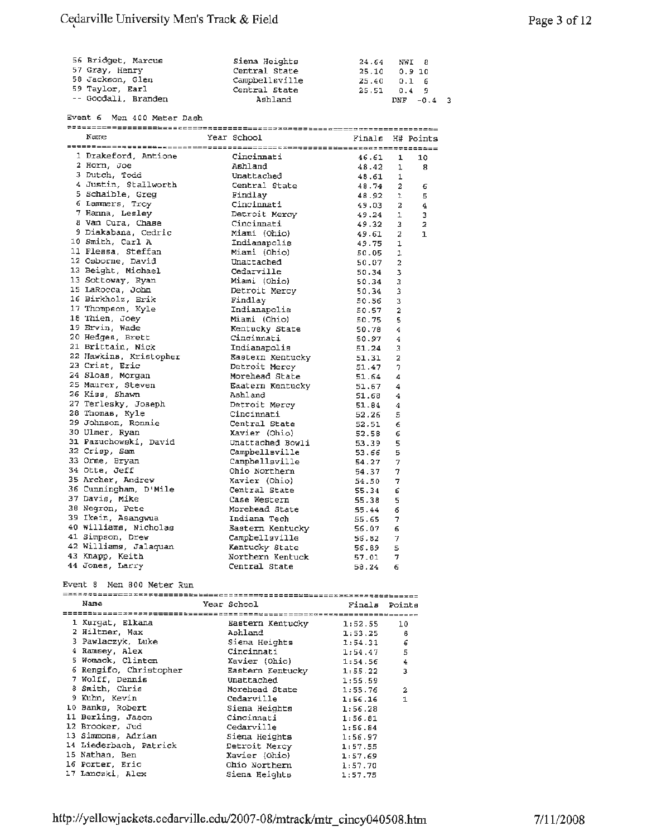| 56 Bridget, Marcus  | Siena Heights  | 24.64 NWI 8   |
|---------------------|----------------|---------------|
| 57 Gray, Henry      | Central State  | 25.10 0.9 10  |
| 58 Jackson, Glen    | Campbellsville | $25.40$ 0.1 6 |
| 59 Taylor, Earl     | Central State  | $25.51$ 0.4 9 |
| -- Goodall, Branden | Ashland        | $DNF - 0.4$ 3 |

Event 6 Men 400 Meter Dash

| 1 Drakeford, Antione                     | Cincinnati                                         | 46.61 | 1              | 10             |
|------------------------------------------|----------------------------------------------------|-------|----------------|----------------|
| 2 Horn, Joe                              | Ashland                                            | 48.42 | ı              | 8              |
| 3 Dutch, Todd                            | Unattached                                         | 48.61 | 1              |                |
| 4 Justin, Stallworth                     | Central State                                      | 48.74 | $\overline{a}$ | 6              |
| 5 Schaible, Greg                         | Findlay                                            | 48.92 | $\mathbf{1}$   | 5              |
| unders, since<br>5 Lammers, Troy<br>7 ב- | Cincinnati                                         | 49.03 | $\mathbf{2}$   | 4              |
| 7 Hanna, Lesley                          | Detroit Mercy                                      | 49.24 | $\mathbf{1}$   | 3              |
| 8 Van Cura, Chase                        | Cincinnati                                         | 49.32 | 3              | $\overline{a}$ |
| 9 Diakabana, Cedric                      | Miami (Ohio)                                       | 49.61 | 2              | $\mathbf{1}$   |
| 10 Smith, Carl A                         | Indianapolis                                       | 49.75 | 1              |                |
| 11 Flessa, Steffan                       | Miami (Ohio)                                       | 50.05 | 1              |                |
| 12 Osborne, David                        | Unattached                                         | 50.07 | 2              |                |
| 13 Beight, Michael                       | Cedarville                                         | 50.34 | з              |                |
| 13 Sottoway, Ryan                        | Miami (Ohio)                                       | 50.34 | 3              |                |
| 15 LaRocca, John                         | Detroit Mercy                                      | 50.34 | з              |                |
| 16 Birkholz, Erik                        | Findlay                                            | 50.56 | 3              |                |
| 17 Thompson, Kyle                        | Indianapolis                                       | 50.57 | $\overline{a}$ |                |
| 18 Thien, Joey                           | Miami (Ohio)                                       | 50.75 | 5              |                |
| 19 Ervin, Wade                           | Kentucky State                                     | 50.78 | 4              |                |
| 20 Hedges, Brett                         | Cincinnati                                         | 50.97 | 4              |                |
| 21 Brittain, Nick                        | Indianapolis                                       | 51.24 | 3              |                |
| 22 Hawkins, Kristopher<br>23 Crist Eric  |                                                    | 51.31 | 2              |                |
| 23 Crist, Eric                           | Eastern Kentucky<br>Detroit Mercy<br>Detroit Mercy | 51.47 | 7              |                |
| 24 Sloas, Morgan                         | Morehead State                                     | 51.64 | 4              |                |
| 25 Maurer, Steven                        | Eaatern Kentucky                                   | 51.67 | 4              |                |
| 26 Kiss, Shawn                           | Ashland                                            | 51.68 | 4              |                |
| 27 Terlesky, Joseph                      | Detroit Mercy                                      | 51.84 | 4              |                |
| 28 Thomas, Kyle                          | Cincinnati                                         | 52.26 | 5              |                |
| 29 Johnson, Ronnie                       | Central State                                      | 52.51 | 6              |                |
| 30 Ulmer, Ryan                           | Xavier (Ohio)                                      | 52.58 | 6              |                |
| 31 Pazuchowski, David                    | Unattached Bowli                                   | 53.39 | 5              |                |
| 32 Crisp, Sam                            | Campbellsville                                     | 53.66 | 5              |                |
| 33 Orme, Bryan                           | Campbellsville                                     | 54.27 | 7              |                |
| 34 Otte, Jeff                            | Ohio Northern                                      | 54.37 | 7              |                |
| 35 Archer, Andrew                        | Ohio North<br>Xavier (Ohio)<br>State               | 54.50 | 7              |                |
| 36 Cunningham, D'Mile                    | Central State                                      | 55.34 | 6              |                |
| 37 Davis, Mike                           | Case Western                                       | 55.38 | 5              |                |
| 38 Negron, Pete                          | Morehead State                                     | 55.44 | 6              |                |
| 39 Ikein, Asangwua                       |                                                    | 55.65 | 7              |                |
| 40 Williams, Nicholas                    | Indiana Tech<br>Eastern Kentucky                   | 56.07 | 6              |                |
| 41 Simpson, Drew                         | Campbellsville                                     | 56.82 | 7              |                |
| 42 Williams, Jalaquan                    | Kentucky State                                     | 56.89 | 5              |                |
| 43 Knapp, Keith                          | Northern Kentuck                                   | 57.01 | 7              |                |
| 44 Jones, Larry                          | Central State                                      | 58.24 | 6              |                |

#### Event 8 Men 800 Meter Run

| Name                   | Year School              | Finals  | Points         |
|------------------------|--------------------------|---------|----------------|
|                        |                          |         |                |
| 1 Kurgat, Elkana       | Eastern Kentucky 1:52.55 |         | 10             |
| 2 Hiltner, Max         | Ashland                  | 1:53.25 | -8             |
| 3 Pawlaczyk, Luke      | Siena Heights            | 1:54.31 | 6              |
| 4 Ramsey, Alex         | Cincinnati               | 1:54.47 | 5              |
| 5 Womack, Clinton      | Xavier (Ohio)            | 1:54.56 | 4              |
| 6 Rengifo, Christopher | Eastern Kentucky         | 1:55.22 | 3              |
| 7 Wolff, Dennis        | Unattached               | 1:55.59 |                |
| 8 Smith, Chris         | Morehead State           | 1:55.76 | $\overline{a}$ |
| 9 Kuhn, Kevin          | Cedarville               | 1:56.16 | 1              |
| 10 Banks, Robert       | Siena Heights            | 1:56.28 |                |
| 11 Berling, Jason      | Cincinnati               | 1:56.81 |                |
| 12 Brooker, Jud        | Cedarville               | 1:56.84 |                |
| 13 Simmons, Adrian     | Siena Heights            | 1:56.97 |                |
| 14 Liederbach, Patrick | Detroit Mercy            | 1:57.55 |                |
| 15 Nathan, Ben         | Xavier (Ohio)            | 1:57.69 |                |
| 16 Porter, Eric        | Ohio Northern            | 1:57.70 |                |
| 17 Lanczki, Alex       | Siena Heights            | 1:57.75 |                |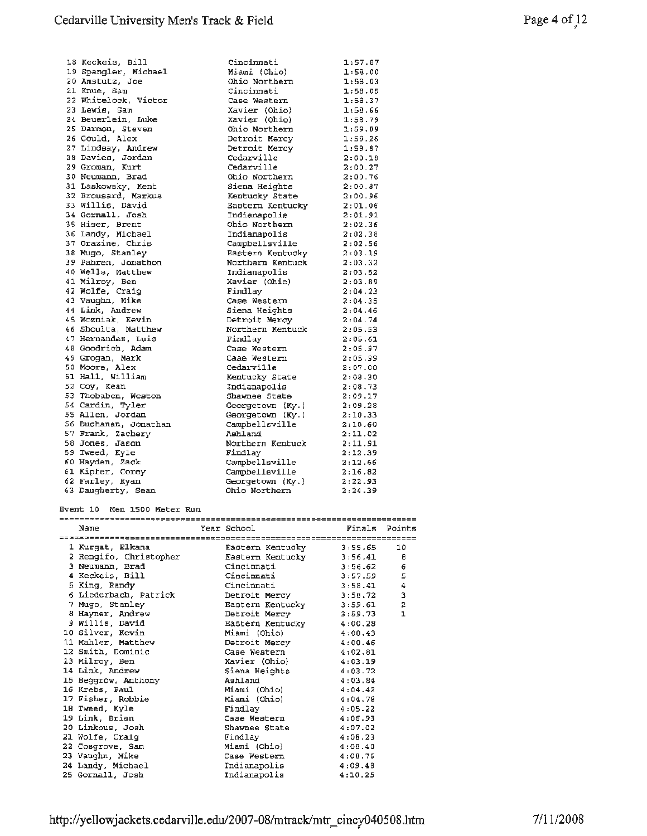| 18 Keckeis, Bill      | Cincinnati                         | 1:57.87 |
|-----------------------|------------------------------------|---------|
| 19 Spangler, Michael  | Miami (Ohio)                       | 1:58.00 |
| 20 Amstutz, Joe       | Ohio Northern                      | 1:58.03 |
| 21 Knue, Sam          | Cincinnati                         | 1:58.05 |
| 22 Whitelock, Victor  | Case Western                       | 1:58.37 |
| 23 Lewis, Sam         | Xavier (Ohio)                      | 1:58.66 |
| 24 Beuerlein, Luke    | Xavier (Ohio)                      | 1:58.79 |
| 25 Darmon, Steven     | Ohio Northern                      | 1:59.09 |
| 26 Gould, Alex        | Detroit Mercy                      | 1:59.26 |
| 27 Lindsay, Andrew    | Detroit Mercy                      | 1:59.87 |
| 28 Davies, Jordan     | Cedarville                         | 2:00.18 |
| 29 Groman, Kurt       | Cedarville                         | 2:00.27 |
| 30 Neumann, Brad      | Ohio Northern                      | 2:00.76 |
| 31 Laskowsky, Kent    | Siena Heights                      | 2:00.87 |
| 32 Brousard, Markus   | Kentucky State                     | 2:00.96 |
| 33 Willis, David      | Eastern Kentucky                   | 2:01.06 |
| 34 Gornall, Josh      | Indianapolis                       | 2:01.91 |
| 35 Hiser, Brent       | Ohio Northern                      | 2:02.36 |
| 36 Landy, Michael     | Indianapolis                       | 2:02.38 |
| 37 Orazine, Chris     | Campbellsville                     | 2:02.56 |
| 38 Mugo, Stanley      | Eastern Kentucky                   | 2:03.19 |
| 39 Pahren, Jonathon   | Northern Kentuck                   | 2:03.32 |
| 40 Wells, Matthew     | Indianapolis                       | 2:03.52 |
| 41 Milroy, Ben        | Xavier (Ohio)                      | 2:03.89 |
| 42 Wolfe, Craig       | Findlay                            | 2:04.23 |
| 43 Vaughn, Mike       | Case Western                       | 2:04.35 |
| 44 Link, Andrew       | Siena Heights                      | 2:04.46 |
| 45 Wozniak, Kevin     | Detroit Mercy                      | 2:04.74 |
| 46 Shoulta, Matthew   | Northern Kentuck                   | 2:05.53 |
| 47 Hernandez, Luis    | Findlay                            | 2:05.61 |
| 48 Goodrich, Adam     | Case Western                       | 2:05.97 |
| 49 Grogan, Mark       | Caae Western                       | 2:05.99 |
| 50 Moore, Alex        | Cedarville                         | 2:07.00 |
| 51 Hall, William      | Kentucky State                     | 2:08.30 |
| 52 Coy, Kean          | Indianapolis                       | 2:08.73 |
| 53 Thobaben, Weston   | Shawnee State                      | 2:09.17 |
| 54 Cardin, Tyler      | Georgetown (Ky.)                   | 2:09.28 |
| 55 Allen, Jordan      |                                    | 2:10.33 |
|                       | Georgetown (Ky.)<br>Campbellsville | 2:10.60 |
| 56 Buchanan, Jonathan | Ashland                            | 2:11.02 |
| 57 Frank, Zachery     |                                    |         |
| 58 Jones, Jason       | Northern Kentuck                   | 2:11.91 |
| 59 Tweed, Kyle        | Findlay                            | 2:12.39 |
| 60 Hayden, Zack       | Campbellsville                     | 2:12.66 |
| 61 Kipfer, Corey      | Campbellsville                     | 2:16.82 |
| 62 Farley, Ryan       | Georgetown (Ky.)                   | 2:22.93 |
| 63 Daugherty, Sean    | Ohio Northern                      | 2:24.39 |

Event 10 Men 1500 Meter Run

| Name                   |  | Year School                    | Finals Points |                |  |  |  |
|------------------------|--|--------------------------------|---------------|----------------|--|--|--|
|                        |  |                                |               |                |  |  |  |
| 1 Kurgat, Elkana       |  | Eastern Kentucky 3:55.65       |               | 10             |  |  |  |
| 2 Rengifo, Christopher |  | Eastern Kentucky 3:56.41       |               | в              |  |  |  |
| 3 Neumann, Brad        |  | Cincinnati                     | 3:56.62       | 6              |  |  |  |
| 4 Keckeis, Bill        |  | Cincinnati                     | 3:57.59       | 5              |  |  |  |
| 5 King, Randy          |  | Cincinnati                     | 3:58.41       | 4              |  |  |  |
| 6 Liederbach, Patrick  |  | Detroit Mercy                  | 3:58.72       | 3              |  |  |  |
| 7 Mugo, Stanley        |  | Eastern Kentucky 3:59.61       |               | $\overline{a}$ |  |  |  |
| 8 Hayner, Andrew       |  | Detroit Mercy 3:59.73          |               | $\mathbf{1}$   |  |  |  |
| 9 Willis, David        |  | Eastern Kentucky 4:00.28       |               |                |  |  |  |
| 10 Silver, Kevin       |  | Miami (Ohio) 4:00.43           |               |                |  |  |  |
| 11 Mahler, Matthew     |  | Detroit Mercy                  | 4:00.46       |                |  |  |  |
| 12 Smith, Dominic      |  | Case Western                   | 4:02.81       |                |  |  |  |
| 13 Milroy, Ben         |  | $\text{Xavier (Ohio)}$ 4:03.19 |               |                |  |  |  |
| 14 Link, Andrew        |  |                                |               |                |  |  |  |
| 15 Beggrow, Anthony    |  | Ashland                        | 4:03.84       |                |  |  |  |
| 16 Krebs, Paul         |  | Miami (Ohio)                   | 4:04.42       |                |  |  |  |
| 17 Fisher, Robbie      |  | Miami (Ohio)                   | 4:04.78       |                |  |  |  |
| 18 Tweed, Kyle         |  | Findlay                        | 4:05.22       |                |  |  |  |
| 19 Link, Brian         |  | Case Western                   | 4:06.93       |                |  |  |  |
| 20 Linkous, Josh       |  | Shawnee State                  | 4:07.02       |                |  |  |  |
| 21 Wolfe, Craiq        |  | Findlay                        | 4:08.23       |                |  |  |  |
| 22 Cosgrove, Sam       |  | Miami (Ohio)                   | 4:08.40       |                |  |  |  |
| 23 Vaughn, Mike        |  | Case Western                   | 4:08.76       |                |  |  |  |
| 24 Landy, Michael      |  | Indianapolis                   | 4:09.48       |                |  |  |  |
| 25 Gornall, Josh       |  | Indianapolis                   | 4:10.25       |                |  |  |  |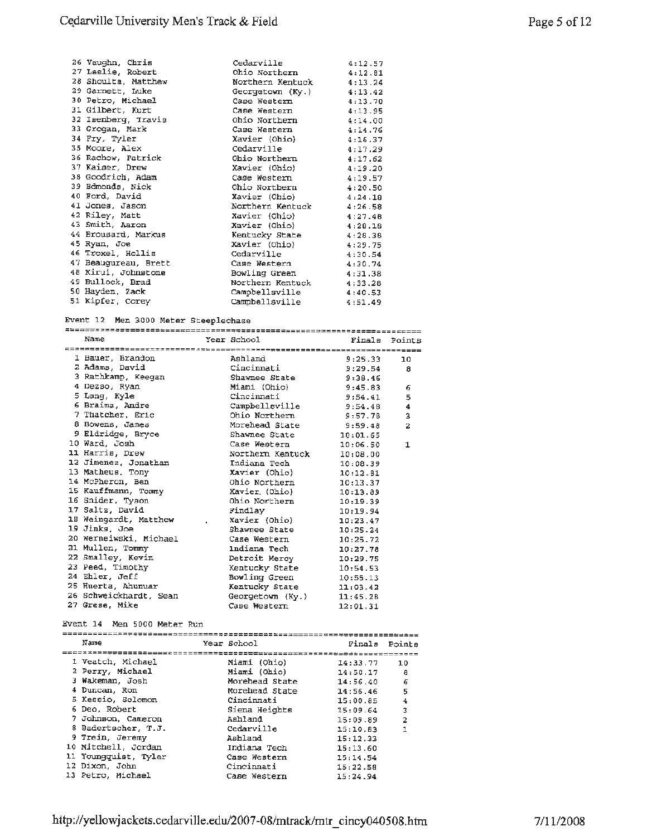| 26 Vaughn, Chris                     | Cedarville                 | 4:12.57 |  |  |  |  |  |
|--------------------------------------|----------------------------|---------|--|--|--|--|--|
| 27 Leslie, Robert                    | Ohio Northern 4:12.81      |         |  |  |  |  |  |
| 28 Shoulta, Matthew                  | Northern Kentuck 4:13.24   |         |  |  |  |  |  |
| 29 Garnett, Luke                     | Georgetown $(Ky.)$ 4:13.42 |         |  |  |  |  |  |
| 30 Petro, Michael                    | Case Western               | 4:13.70 |  |  |  |  |  |
| 31 Gilbert, Kurt                     | Case Western 4:13.95       |         |  |  |  |  |  |
| 32 Isenberg, Travis                  | Ohio Northern 4:14.00      |         |  |  |  |  |  |
| 33 Grogan, Mark                      | Case Western               | 4:14.76 |  |  |  |  |  |
| 34 Fry, Tyler                        | $Xavier (Ohio)$ 4:16.37    |         |  |  |  |  |  |
| 35 Moore, Alex                       | Cedarville                 | 4:17.29 |  |  |  |  |  |
| 36 Rachow, Patrick                   | Ohio Northern              | 4:17.62 |  |  |  |  |  |
| 37 Kaiser, Drew                      | Xavier (Ohio)              | 4:19.20 |  |  |  |  |  |
| 38 Goodrich, Adam                    | Case Western $4:19.57$     |         |  |  |  |  |  |
| 39 Edmonds, Nick                     | Ohio Northern              | 4:20.50 |  |  |  |  |  |
| 40 Ford, David                       | Xavier (Ohio)              | 4:24.18 |  |  |  |  |  |
| 41 Jones, Jason                      | Northern Kentuck 4:26.58   |         |  |  |  |  |  |
| 42 Riley, Matt                       | Xavier (Ohio)              | 4:27.48 |  |  |  |  |  |
| 43 Smith, Aaron                      | Xavier (Ohio) 4:28.18      |         |  |  |  |  |  |
| 44 Brousard, Markus                  | Kentucky State             | 4:28.38 |  |  |  |  |  |
| 45 Ryan, Joe                         | Xavier (Ohio)              | 4:29.75 |  |  |  |  |  |
| 46 Troxel, Hollis                    | Cedarville                 | 4:30.54 |  |  |  |  |  |
| 47 Beaugureau, Brett                 | Case Western               | 4:30.74 |  |  |  |  |  |
| 48 Kirui, Johnstone                  | Bowling Green 4:31.38      |         |  |  |  |  |  |
| 49 Bullock, Brad                     | Northern Kentuck           | 4:33.28 |  |  |  |  |  |
| 50 Hayden, Zack                      | Campbellsville             | 4:40.53 |  |  |  |  |  |
| 51 Kipfer, Corey                     | Campbellsville             | 4:51.49 |  |  |  |  |  |
|                                      |                            |         |  |  |  |  |  |
| Event 12 Men 3000 Meter Steeplechase |                            |         |  |  |  |  |  |
| ==================================   |                            |         |  |  |  |  |  |

| Name                                     | Year School                  | Finals Points |                  |
|------------------------------------------|------------------------------|---------------|------------------|
|                                          |                              |               |                  |
| 1 Bauer, Brandon                         | Ashland                      | 9:25.33       | 10               |
| 2 Adams, David                           | Cincinnati                   | 9:29.54       | 8                |
| 3 Rathkamp, Keegan Shawnee State 9:38.46 |                              |               |                  |
| 4 Dezso, Ryan                            | Miami (Ohio)                 | 9:45.83       | 6                |
| 5 Lang, Kyle                             | Cincinnati                   | 9:54.41       | 5                |
| 6 Braima, Andre                          | $Camphelligville$ $9:54.48$  |               | $\boldsymbol{4}$ |
| 7 Thatcher, Eric                         | Ohio Northern 9:57.78        |               | 3                |
| 8 Bowens, James                          | Morehead State 9:59.48       |               | $\overline{z}$   |
| 9 Eldridge, Bryce                        | $Shawnee State$ $10:01.65$   |               |                  |
| 10 Ward, Josh                            | Case Western 10:06.50        |               | $\mathbf 1$      |
| 11 Harris, Drew                          | Northern Kentuck 10:08.00    |               |                  |
| 12 Jimenez, Jonathan                     | Indiana Tech                 | 10:08.39      |                  |
| 13 Matheus, Tony                         | Xavier (Ohio)                | 10:12.81      |                  |
| 14 McPheron, Ben                         | Ohio Northern                | 10:13.37      |                  |
| 15 Kauffmann, Tommy                      | Xavier (Ohio)                | 10:13.89      |                  |
| 16 Snider, Tyson                         | Ohio Northern                | 10:19.39      |                  |
| 17 Saltz, David                          | Findlay                      | 10:19.94      |                  |
| 18 Weingardt, Matthew                    | Xavier (Ohio) 10:23.47       |               |                  |
| 19 Jinks, Joe                            | Shawnee State                | 10:25.24      |                  |
| 20 Werneiwski, Michael                   | Case Western                 | 10:25.72      |                  |
| 21 Mullen, Tommy                         | Indiana Tech                 | 10:27.78      |                  |
| 22 Smalley, Kevin                        | Detroit Mercy 10:29.75       |               |                  |
| 23 Peed, Timothy                         | Kentucky State 10:54.53      |               |                  |
| 24 Ehler, Jeff                           | Bowling Green                | 10:55.13      |                  |
| 25 Huerta, Ahumuar                       | Kentucky State 11:03.42      |               |                  |
| 26 Schweickhardt, Sean                   | Georgetown $(Ky. )$ 11:45.28 |               |                  |
| 27 Grese. Mike                           | Case Western                 | 12:01.31      |                  |

#### Event **14** Men 5000 Meter Run

| Name                 |  | Year School    | Finals   | Pointe |  |  |  |  |
|----------------------|--|----------------|----------|--------|--|--|--|--|
|                      |  |                |          |        |  |  |  |  |
| 1 Veatch, Michael    |  | Miami (Ohio)   | 14:33.77 | 10     |  |  |  |  |
| 2 Perry, Michael     |  | Miami (Ohio)   | 14:50.17 | 8      |  |  |  |  |
| 3 Wakeman, Josh      |  | Morehead State | 14:56.40 | 6      |  |  |  |  |
| 4 Duncan, Ron        |  | Morehead State | 14:56.46 | 5      |  |  |  |  |
| 5 Kessio, Solomon    |  | Cincinnati     | 15:00.85 | 4      |  |  |  |  |
| 6 Deo, Robert        |  | Siena Heights  | 15:09.64 | З      |  |  |  |  |
| 7 Johnson, Cameron   |  | Ashland        | 15:09.89 | 2      |  |  |  |  |
| 8 Badertscher, T.J.  |  | Cedarville     | 15:10.83 | 1      |  |  |  |  |
| 9 Trein, Jeremy      |  | Ashland        | 15:12.33 |        |  |  |  |  |
| 10 Mitchell, Jordan  |  | Indiana Tech   | 15:13.60 |        |  |  |  |  |
| 11 Youngquist, Tyler |  | Case Western   | 15:14.54 |        |  |  |  |  |
| 12 Dixon, John       |  | Cincinnati     | 15:22.58 |        |  |  |  |  |
| 13 Petro, Michael    |  | Case Western   | 15:24.94 |        |  |  |  |  |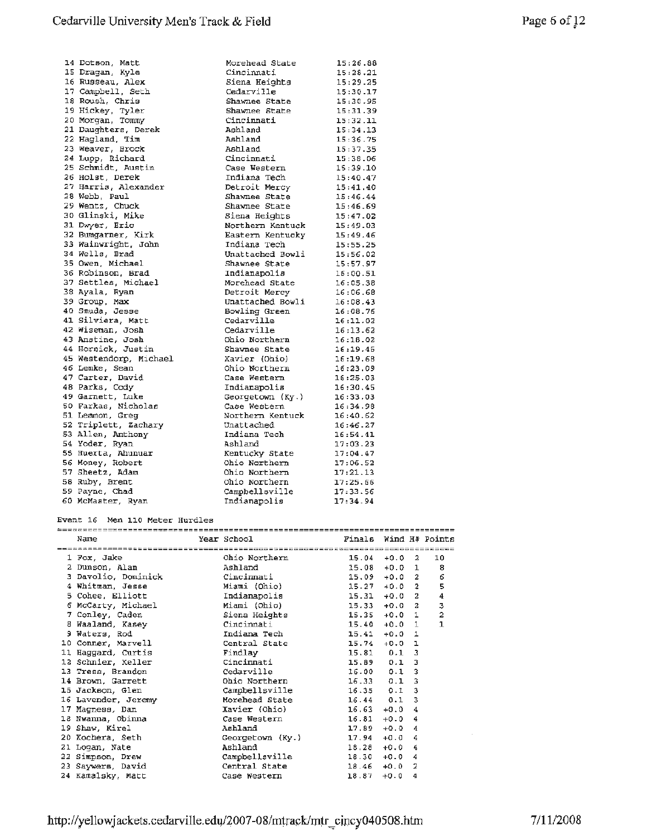| 14 Dotson, Matt        | Morehead State                    | 15:26.88                  |
|------------------------|-----------------------------------|---------------------------|
| 15 Dragan, Kyle        | Cincinnati                        | 15:28.21                  |
| 16 Russeau, Alex       | Siena Heights                     | 15:29.25                  |
| 17 Campbell, Seth      | Cedarville                        | 15:30.17                  |
| 18 Roush, Chris        | Shawnee State                     | 15:30.95                  |
| 19 Hickey, Tyler       | Shawnee State                     | 15:31.39                  |
| 20 Morgan, Tommy       | Cincinnati                        | 15:32.11                  |
| 21 Daughters, Derek    | Ashland                           | 15:34.13                  |
| 22 Hagland, Tim        | Ashland                           | 15:36.75                  |
| 23 Weaver, Brock       | Ashland                           | 15:37.35                  |
| 24 Lupp, Richard       | Cincinnati                        | 15:38.06                  |
| 25 Schmidt, Austin     | Case Western                      | 15:39.10                  |
| 26 Holst, Derek        | Indiana Tech                      | 15:40.47                  |
| 27 Harris, Alexander   |                                   | 15:41.40                  |
| 28 Webb, Paul          | Detroit Mercy<br>Shawnee State    | 15:46.44                  |
| 29 Wentz, Chuck        | Shawnee State                     | 15:46.69                  |
| 30 Glinski, Mike       | Siena Heights                     | 15:47.02                  |
| 31 Dwyer, Eric         | Northern Kentuck                  | 15:49.03                  |
| 32 Bumgarner, Kirk     | Eastern Kentucky                  | 15:49.46                  |
| 33 Wainwright, John    | Indiana Tech                      | 15:55.25                  |
| 34 Wells, Brad         | Unattached Bowli                  | 15:56.02                  |
| 35 Owen, Michael       | Shawnee State                     | 15:57.97                  |
| 36 Robinson, Brad      | Indianapolis                      | 16:00.51                  |
| 37 Settles, Michael    | Morehead State                    | 16:05.38                  |
| 38 Ayala, Ryan         | Detroit Mercy                     | 16:06.68                  |
| 39 Group, Max          |                                   | $16:08.43$<br>$16:08 = 7$ |
| 40 Smuda, Jesse        | Unattached Bowli<br>Bowling Green | 16:08.76                  |
| 41 Silviera, Matt      | Cedarville                        | 16:11.02                  |
| 42 Wiseman, Josh       | Cedarville                        | 16:13.62                  |
| 43 Anstine, Josh       | Ohio Northern                     | 16:18.02                  |
| 44 Hornick, Justin     | Shawnee State                     | 16:19.45                  |
| 45 Westendorp, Michael | Xavier (Ohio)                     | 16:19.68                  |
| 46 Lemke, Sean         | Ohio Northern                     | 16:23.09                  |
| 47 Carter, David       | Case Western                      | 16:25.03                  |
| 48 Parks, Cody         | Indianapolis                      | 16:30.45                  |
| 49 Garnett, Luke       | Georgetown (Ky.)                  | 16:33.03                  |
| 50 Farkas, Nicholas    | Case Western                      | 16:34.98                  |
| 51 Lemmon, Greq        | Northern Kentuck                  | 16:40.62                  |
| 52 Triplett, Zachary   | Unattached                        | 16:46.27                  |
| 53 Allen, Anthony      | Indiana Tech                      | 16:54.41                  |
| 54 Yoder, Ryan         | Ashland                           | 17:03.23                  |
| 55 Huerta, Ahunuar     | Kentucky State                    | 17:04.47                  |
| 56 Money, Robert       | Ohio Northern                     | 17:06.52                  |
| 57 Sheetz, Adam        | Ohio Northern                     | 17:21.13                  |
| 58 Ruby, Brent         | Ohio Northern                     | 17:25.66                  |
| 59 Payne, Chad         | Campbellsville                    | 17:33.56                  |
| 60 McMaster, Ryan      |                                   |                           |
|                        | Indianapolis                      | 17:34.94                  |

#### Event 16 Men 110 Meter Hurdles

| Name                                                | Year School               | Finals Wind H# Points |          |                |                |
|-----------------------------------------------------|---------------------------|-----------------------|----------|----------------|----------------|
|                                                     |                           |                       |          |                |                |
| 1 Fox, Jake                                         | Ohio Northern             | $15.04 + 0.02$        |          |                | 10             |
| 2 Dunson, Alan                                      | Ashland                   | $15.08 + 0.01$        |          |                | - 8            |
| 3 Davolio, Dominick                                 | Cincinnati                | $15.09 + 0.02$        |          |                | 6              |
| 4 Whitman, Jesse                                    | Miami (Ohio)              | $15.27 + 0.02$        |          |                | 5              |
| 5 Cohee, Elliott                                    | Indianapolis              | $15.31 + 0.02$        |          |                | 4              |
| 6 McCarty, Michael <b>Miami</b> (Ohio) 15.33 +0.0 2 |                           |                       |          |                | 3              |
| 7 Conley, Caden                                     | Siena Heights             | $15.35 + 0.0 1$       |          |                | $\overline{a}$ |
| 8 Waaland, Kasey                                    | Cincinnati                | $15.40 + 0.0 1$       |          |                | $\mathbf{1}$   |
| 9 Waters, Rod                                       | Indiana Tech              | $15.41 + 0.0 1$       |          |                |                |
| 10 Conner, Marvell                                  | Central State             | 15.74                 | $+0.0$ 1 |                |                |
| 11 Haggard, Curtis                                  | Findlay                   | $15.81$ 0.1 3         |          |                |                |
| 12 Schnier, Keller                                  | Cincinnati                | $15.89$ $0.1$ 3       |          |                |                |
| 13 Tress, Brandon                                   | Cedarville                | $16.00$ $0.1$ 3       |          |                |                |
| 14 Brown, Garrett                                   | Ohio Northern             | $16.33$ $0.1$ 3       |          |                |                |
| 15 Jackson, Glen                                    | Campbellsville            | $16.35$ 0.1           |          | 3              |                |
| 16 Lavender, Jeremy                                 | Morehead State            | $16.44$ 0.1 3         |          |                |                |
| 17 Magness, Dan                                     | Xavier (Ohio)             | $16.63 + 0.04$        |          |                |                |
| 18 Nwanna, Obinna                                   | Case Western              | $16.81 + 0.04$        |          |                |                |
| 19 Shaw, Kirel                                      | Ashland                   | $17.89 + 0.0$         |          | 4              |                |
| 20 Kochera, Seth                                    | Georgetown (Ky.)          | 17.94                 | $+0.0$   | 4              |                |
| 21 Logan, Nate                                      | Ashland                   | $18.28 + 0.0$         |          | 4              |                |
| 22 Simpson, Drew                                    | Campbellsville            | $18.30 + 0.0$         |          | $\overline{4}$ |                |
| 23 Saywers, David                                   | Central State             | $18.46 + 0.0$         |          | 2              |                |
| 24 Kamalsky, Matt                                   | Case Western <b>State</b> | 18.87                 | $+0.0$   | 4              |                |

 $\epsilon$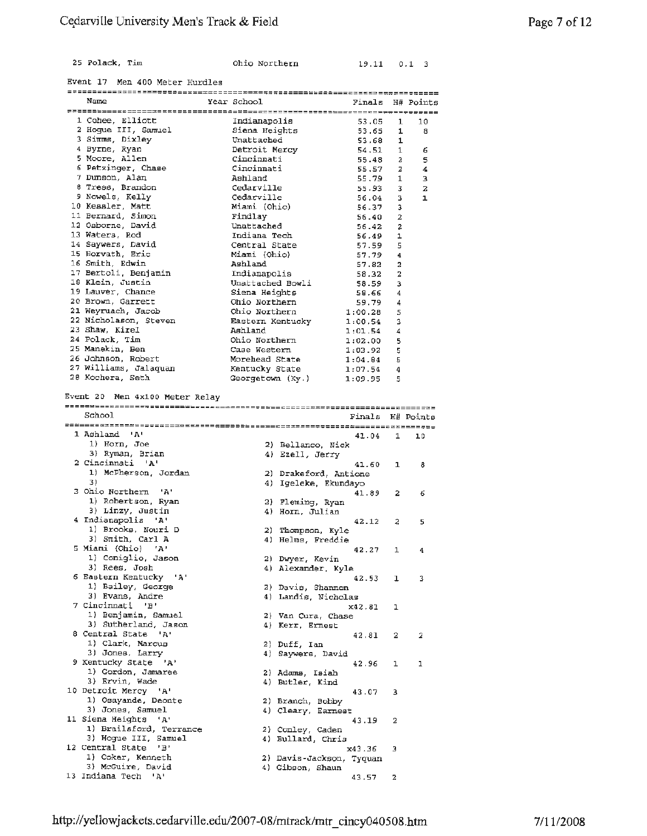|  |  | 25 Polack. | Tim |  |
|--|--|------------|-----|--|
|--|--|------------|-----|--|

0hio Northern 19.11 0.1 3

Event 17 Men 400 Meter Hurdles

| Name                                        | Year School                   | Finals           |                         | H# Points |
|---------------------------------------------|-------------------------------|------------------|-------------------------|-----------|
|                                             |                               |                  |                         |           |
| 1 Cohee, Elliott<br>2 Hoque III, Samuel     | Indianapolis<br>Siena Heights | 53.05            | $\mathbf{1}$            | 10        |
| 3 Simms, Dixley                             | Unattached                    | 53.65            | 1                       | 8         |
| 4 Byrne, Ryan                               | Detroit Mercy                 | 53.68<br>54.51   | 1<br>$\mathbf 1$        | 6         |
| 5 Moore, Allen                              | Cincinnati                    | 55.48            | $\overline{a}$          | 5         |
| 6 Petzinger, Chase                          | Cincinnati                    | 55.57            | $\mathbf{z}$            | 4         |
| 7 Dunson, Alan                              | Ashland                       | 55.79            | 1                       | з         |
| 8 Tress, Brandon                            | Cedarville                    | 55.93            | з                       | 2         |
| 9 Nowels, Kelly                             | Cedarville                    | 56.04            | з                       | 1         |
| 10 Kessler, Matt                            | Miami (Ohio)                  | 56.37            | з                       |           |
| 11 Bernard, Simon                           | Findlay                       | 56.40            | 2                       |           |
| 12 Osborne, David                           | Unattached                    | 56.42            | 2                       |           |
| 13 Waters, Rod                              | Indiana Tech                  | 56.49            | ı                       |           |
| 14 Saywers, David                           | Central State                 | 57.59            | 5                       |           |
| 15 Horvath, Eric                            | Miami (Ohio)                  | 57.79            | 4                       |           |
| 16 Smith, Edwin                             | Ashland                       | 57.82            | 2                       |           |
| 17 Bertoli, Benjamin                        | Indianapolis                  | 58.32            | $\overline{\mathbf{2}}$ |           |
| 18 Klein, Justin                            | Unattached Bowli              | 58.59            | з                       |           |
| 19 Lauver, Chance                           | Siena Heights                 | 58.66            | 4                       |           |
| 20 Brown, Garrett                           | Ohio Northern                 | 59.79            | 4                       |           |
| 21 Weyruach, Jacob                          | Ohio Northern                 | 1:00.28          | 5                       |           |
| 22 Nicholason, Steven                       | Eastern Kentucky              | 1:00.54          | 3                       |           |
| 23 Shaw, Kirel                              | Ashland                       | 1:01.54          | 4                       |           |
| 24 Polack, Tim                              | Ohio Northern                 | 1:02.00          | 5                       |           |
| 25 Manekin, Ben                             | Case Western                  | 1:03.92          | 5                       |           |
| 26 Jahnson, Robert                          | Morehead State                | 1:04.84          | 5                       |           |
| 27 Williams, Jalaquan                       | Kentucky State                | 1:07.54          | 4                       |           |
| 28 Kochera, Seth                            | Georgetown (Ky.)              | 1:09.95          | 5                       |           |
| Event 20 Men 4x100 Meter Relay              |                               |                  |                         |           |
|                                             |                               |                  |                         |           |
| School                                      |                               | Finals H# Points |                         |           |
|                                             |                               |                  |                         |           |
| 1 Ashland 'A'                               |                               |                  |                         |           |
|                                             |                               | 41.04            | 1                       | 10        |
| 1) Horn, Joe                                | 2) Bellanco, Nick             |                  |                         |           |
| 3) Ryman, Brian                             | 4) Ezell, Jerry               |                  |                         |           |
| 2 Cincinnati 'A'                            |                               | 41.60            | 1                       | 8         |
| 1) McPherson, Jordan                        | 2) Drakeford, Antione         |                  |                         |           |
| 3)                                          | 4) Igeleke, Ekundayo          |                  |                         |           |
| 3 Ohio Northern 'A'                         |                               | 41.89            | 2                       | 6         |
| 1) Robertson, Ryan                          | 2) Fleming, Ryan              |                  |                         |           |
| 3) Linzy, Justin                            | 4) Horn, Julian               |                  |                         |           |
| 4 Indianapolis 'A'                          |                               | 42.12            | 2                       | 5         |
| 1) Brooks, Nouri D                          | 2) Thompson, Kyle             |                  |                         |           |
| 3) Smith, Carl A                            | 4) Helms, Freddie             |                  |                         |           |
| 5 Miami (Ohio)<br>- 'A'                     |                               | 42.27            | 1                       | 4         |
| 1) Coniglio, Jason                          | 2) Dwyer, Kevin               |                  |                         |           |
| 3) Rees, Josh                               | 4) Alexander, Kyle            |                  |                         |           |
| 6 Eastern Kentucky 'A'                      |                               | 42.53            | 1                       | 3         |
| 1) Bailey, George                           | 2) Davis, Shannon             |                  |                         |           |
| 3) Evans, Andre                             | 4) Landis, Nicholas           |                  |                         |           |
| 7 Cincinnati 'B'                            |                               | x42,81           | ı                       |           |
| 1) Benjamin, Samuel                         | 2) Van Cura, Chase            |                  |                         |           |
| 3) Sutherland, Jason<br>8 Central State 'A' | 4) Kerr, Ernest               |                  |                         |           |
|                                             |                               | 42.81            | 2                       | 2         |
| 1) Clark, Marcus<br>3) Jones, Larry         | 2) Duff, Ian                  |                  |                         |           |
| 9 Kentucky State 'A'                        | 4) Saywers, David             | 42.96            | ı                       | ı         |
| 1) Gordon, Jamaree                          | 2) Adams, Isiah               |                  |                         |           |
| 3) Ervin, Wade                              | 4) Butler, Kind               |                  |                         |           |
| 10 Detroit Mercy 'A'                        |                               | 43.07            | з                       |           |
| 1) Osayande, Deonte                         | 2) Branch, Bobby              |                  |                         |           |
| 3) Jones, Samuel                            | 4) Cleary, Earnest            |                  |                         |           |
| 11 Siena Heights 'A'                        |                               | 43.19            | 2                       |           |
| 1) Brailsford, Terrance                     | 2) Comley, Caden              |                  |                         |           |
| 3) Hogue III, Samuel                        | 4) Bullard, Chris             |                  |                         |           |
| 12 Central State 'B'                        |                               | x43.36           | э                       |           |
| 1) Coker, Kenneth                           | 2) Davis-Jackson, Tyquan      |                  |                         |           |
| 3) McGuire, David<br>13 Indiana Tech 'A'    | 4) Gibson, Shaun              | 43.57            | 2                       |           |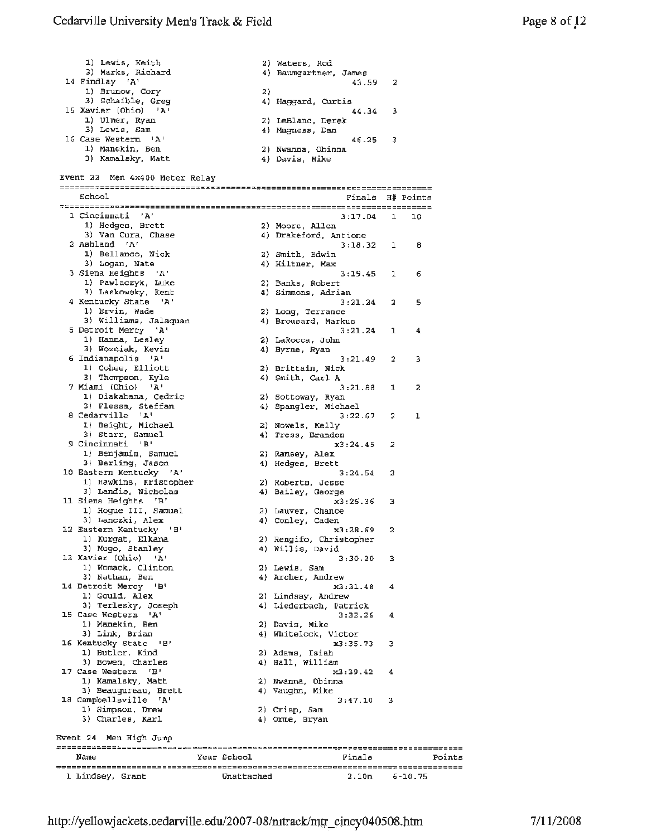1) Lewis, Keith 2) Waters, Rod 3) Marks, Richard 4) Baumgartner, James 14 Findlay 'A'  $\frac{1}{3}$  Brunow, Corv (2) 1) **Brunow**, Cory 3) Schaible, Greg (1) 4) Haggard, Curtis<br>15 Xavier (Ohio) 'A' (14.34) 44.34 15 Xavier (Ohio) 'A'  $\overline{44.34}$  3 1) Ulmer, Ryan 2) LeBlanc, Derek 3) Lewis, Sam 4) Magness, Dan 16 Case Western 'A' 46 .25 <sup>3</sup> 1) Manekin, Ben 2) Nwanna, Obinna 3) Kamalsky, Matt 4) Davis, Mike Event *22* Men 4x400 Meter Relay School School Einstehensesserieser Einals H# Points 1 Cincinnati 'A' 3:17.04 1 10 1) Hedges, Brett 2) Moore, Allen 3) Van Cura, Chase (4) Drakeford, Antione *<sup>2</sup>*Ashland 'A' 3:18.32 1 **<sup>8</sup>** 1) Bellanco, Nick 2) Smith, Edwin 3) Logan, Nate 4) Hiltner, **Max**  3 Siena Heights 'A' 3:19.45 <sup>l</sup><sup>6</sup> 1) Pawlaczyk, Luke 2) Banks, Robert 3) Laskowsky, Kent **4)** Simmons, Adrian 4 Kentucky State **'A'** 3:21.24 *2* 5 1) Ervin, Wade 2) Long, Terrance 3) Williams, Jalaquan (4) Brousard, Markus <sup>5</sup>Detroit Mercy **'A'** 3:21.24 l **<sup>4</sup>** 1) Hanna, Lesley 2) LaRocca, John 3) Wozniak, Kevin 4) Byrne, Ryan 6 Indianapolis 'A' 3:21.49 2 3 1) Cohee, Elliott 2) Brittain, **Nick**  3) Thompson, Kyle **4)** Smith, Carl A 7 **Miami** (Ohio} **'A'** 3:21.88 1 2 1) Diakabana, Cedric **2)** sottoway, Ryan 3) Flessa, Steffan 4) Spangler, Michael <sup>8</sup>Cedarville **'A'** 3:22.67 2 l l.) Beight, Michael 2) Nowels, Kelly 3) Starr, Samuel **4)** Tress, Brandon 9 Cincinnati 'B' x3:24.45 2 1) Benjamin, Samuel 2) **Ramsey, Alex**  3) Berling, Jason **4)** Hedges, Brett 10 Eastern Kentucky 'A' 3:24.54 2 1) Hawkins, Kristopher 2) Roberta, Jesse 3) Landis, Nicholas (4) Bailey, George 11 Siena Heights 'B' x3:26.36 3<br>
1) Hogue III, Samuel 2) Lauver, Chance 3) Lanczki, Alex **4)** Conley, Caden 12 Eastern Kentucky 'B' x3:28.69 <sup>2</sup> 1) Kurgat, Elkana *2)* Rengifo, Christopher 3) Mugo, Stanley **4)** Willis, David 13 Xavier (Ohio) **'A'** 3:30.20 3 1) Womack, Clinton 2) **Lewis, Sam**  3) Nathan, Ben 4) Archer, Andrew 14 Detroit Mercy 'B' x3:3l.48 **<sup>4</sup>** 1) Gould, **Alex 2)** Lindsay, Andrew 3) Terlesky, Joseph 4) Liederbach, Patrick 15 Case Western **'A'** 3:32.26 **<sup>4</sup>** 1) Manekin, Ben 2) Davis, Mike 3) Link, **Brian 4)** Whitelock, Victor 16 Kentucky state 'B' x3:35.73 3 1) Butler, Kind 2) Adams, Isiah 3) **Bowen,** Charles **4)** Hall, William 17 Case western 'B' x.3:39.42 **<sup>4</sup>** l) Kamalsky, Matt 2) Nwanna, Obinna 3) Beaugureau, Brett **4)** Vaughn, Mike 18 Campbellsville **'A'** 3:47.10 <sup>3</sup> 1) Simpson, Drew 2) Crisp, Sam 3) Charles, Karl **4)** Orme, Bryan Event 24 Men High Jump =~=====:~===~-----~=~~M~M~=~~~~:==~~~~~:~~~~~~~~~~~~~~~~~~~====~~~=~=~----------- Name **Year School Finals** Points **~--------------------------~~~--~---~~3~~--~~~S-----~~~~~------------------------** 1 Lindsey, Grant Unattached 2.10m 6-10.75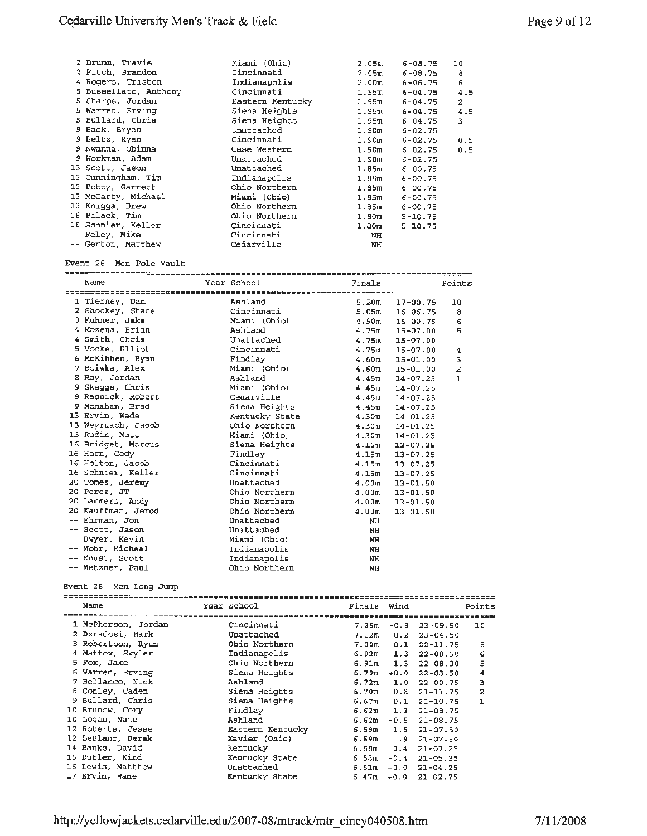| 2 Brumm, Travis       | Miami (Ohio)     | 2.05m             | $6 - 08 - 75$ | 10  |
|-----------------------|------------------|-------------------|---------------|-----|
| 2 Fitch, Brandon      | Cincinnati       | 2.05m             | $6 - 08.75$   | 8   |
| 4 Rogers, Tristen     | Indianapolis     | 2.00 <sub>m</sub> | $6 - 06 - 75$ | 6   |
| 5 Bussellato, Anthony | Cincinnati       | 1.95 <sub>m</sub> | $6 - 04.75$   | 4.5 |
| 5 Sharpe, Jordan      | Eastern Kentucky | 1.95π             | $6 - 04.75$   | 2   |
| 5 Warren, Erving      | Siena Heights    | 1.95π             | $6 - 04.75$   | 4.5 |
| 5 Bullard, Chris      | Siena Heights    | $1.95$ m          | $6 - 04.75$   | 3   |
| 9 Back, Bryan         | Unattached       | $1.90$ m $-$      | $6 - 02.75$   |     |
| 9 Beltz, Ryan         | Cincinnati       | 1.90m             | $6 - 02.75$   | 0.5 |
| 9 Nwanna, Obinna      | Case Western     | 1.90 <sub>m</sub> | $6 - 02.75$   | 0.5 |
| 9 Workman, Adam       | Unattached       | 1.90 <sub>m</sub> | $6 - 02.75$   |     |
| 13 Scott, Jason       | Unattached       | 1.85m             | $6 - 00.75$   |     |
| 13 Cunningham, Tim    | Indianapolis     | 1.85m             | $6 - 00.75$   |     |
| 13 Petty, Garrett     | Ohio Northern    | 1.85 <sub>m</sub> | $6 - 00.75$   |     |
| 13 McCarty, Michael   | Miami (Ohio)     | 1.85 <sub>m</sub> | $6 - 00.75$   |     |
| 13 Knigga, Drew       | Ohio Northern    | 1.85m             | $6 - 00.75$   |     |
| 18 Polack, Tim        | Ohio Northern    | 1.80 <sub>m</sub> | $5 - 10.75$   |     |
| 18 Schnier, Keller    | Cincinnati       | 1.80 <sub>m</sub> | $5 - 10.75$   |     |
| -- Foley, Mike        | Cincinnati       | NH                |               |     |
| -- Gerton, Matthew    | Cedarville       | ΝH                |               |     |

#### Event 26 Men Pole Vault

| Name               | Year School    | Finals            |                    | Points         |
|--------------------|----------------|-------------------|--------------------|----------------|
|                    |                |                   |                    |                |
| 1 Tierney, Dan     | Ashland        | 5.20 <sub>m</sub> | 17-00.75           | 10             |
| 2 Shockey, Shane   | Cincinnati     | 5.05m             | $16 - 06.75$       | 8              |
| 3 Kuhner, Jake     | Miami (Ohio)   | 4.90 <sub>m</sub> | $16 - 00.75$       | $\epsilon$     |
| 4 Mozena, Brian    | Ashland        |                   | $4.75m$ $15-07.00$ | 5              |
| 4 Smith, Chris     | Unattached     |                   | $4.75m$ $15-07.00$ |                |
| 5 Vocke, Elliot    | Cincinnati     |                   | $4.75m$ 15-07.00   | 4              |
| 6 McKibben, Ryan   | Findlay        |                   | $4.60m$ 15-01.00   | 3              |
| 7 Boiwka. Alex     | Miami (Ohio)   | 4.60m             | $15 - 01.00$       | $\overline{2}$ |
| 8 Ray, Jordan      | Ashland        | 4.45m             | $14 - 07.25$       | L.             |
| 9 Skaggs, Chris    | Miami (Ohio)   | 4.45m             | $14 - 07.25$       |                |
| 9 Rasnick, Robert  | Cedarville     | 4.45m             | $14 - 07.25$       |                |
| 9 Monahan, Brad    | Siena Heights  |                   | $4.45m$ $14-07.25$ |                |
| 13 Ervin, Wade     | Kentucky State | 4.30m             | $14 - 01.25$       |                |
| 13 Weyruach, Jacob | Ohio Northern  | 4.30m             | $14 - 01.25$       |                |
| 13 Rudin, Matt     | Miami (Ohio)   | 4.30m             | $14 - 01.25$       |                |
| 16 Bridget, Marcus | Siena Heights  | 4.15m             | $13 - 07.25$       |                |
| 16 Horn, Cody      | Findlay        | 4.15m             | $13 - 07.25$       |                |
| 16 Holton, Jacob   | Cincinnati     |                   | $4.15m$ $13-07.25$ |                |
| 16 Schnier, Keller | Cincinnati     | 4.15m             | $13 - 07.25$       |                |
| 20 Tomes, Jeremy   | Unattached     | 4.00m             | $13 - 01.50$       |                |
| 20 Perez, JT       | Ohio Northern  | 4.00 <sub>m</sub> | $13 - 01.50$       |                |
| 20 Lammers, Andy   | Ohio Northern  | 4.00 <sub>m</sub> | $13 - 01.50$       |                |
| 20 Kauffman, Jerod | Ohio Northern  | 4.00 <sub>m</sub> | $13 - 01.50$       |                |
| -- Ehrman, Jon     | Unattached     | NH                |                    |                |
| -- Scott, Jason    | Unattached     | <b>NH</b>         |                    |                |
| -- Dwyer, Kevin    | Miami (Ohio)   | <b>NH</b>         |                    |                |
| -- Mohr. Micheal   | Indianapolis   | NH                |                    |                |
| -- Knust, Scott    | Indianapolis   | NH                |                    |                |
| -- Metzner, Paul   | Ohio Northern  | NH                |                    |                |

#### Event 28 Men Long Jump

| Name                |  | Year School      | Finals Wind |        |                      | Points         |
|---------------------|--|------------------|-------------|--------|----------------------|----------------|
|                     |  |                  |             |        |                      |                |
| 1 McPherson, Jordan |  | Cincinnati       | 7.25m       | $-0.8$ | 23-09.50             | 10             |
| 2 Dzradosi, Mark    |  | Unattached       | 7.12m       | 0.2    | $23 - 04.50$         |                |
| 3 Robertson, Ryan   |  | Ohio Northern    | 7.00m       | 0.1    | $22 - 11.75$         | θ              |
| 4 Mattox, Skyler    |  | Indianapolis     | 6.92m       | 1.3    | $22 - 08.50$         | 6              |
| 5 Fox, Jake         |  | Ohio Northern    | $6.91m$ 1.3 |        | $22 - 08.00$         | 5              |
| 6 Warren, Erving    |  | Siena Heights    | ճ. 7910 -   | $+0.0$ | $22 - 03.50$         | 4              |
| 7 Bellanco, Nick    |  | Ashland          | 6.72m       | $-1.0$ | $22 - 00.75$         | з              |
| 8 Conley, Caden     |  | Siena Heights    | 6.70m       | 0.8    | $21 - 11.75$         | $\overline{a}$ |
| 9 Bullard, Chris    |  | Siena Heights    | 6.67π       | 0.1    | $21 - 10.75$         | $\mathbf{1}$   |
| 10 Brunow, Cory     |  | Findlay          |             |        | $6.62m$ 1.3 21-08.75 |                |
| 10 Logan, Nate      |  | Ashland          | 6.62m       | $-0.5$ | $21 - 08.75$         |                |
| 12 Roberts, Jesse   |  | Eastern Kentucky | 6.59m       | 1.5    | $21 - 07.50$         |                |
| 12 LeBlanc, Derek   |  | Xavier (Ohio)    | ճ.5910.     | 1.9    | $21 - 07.50$         |                |
| 14 Banks, David     |  | Kentucky         | 6.58m       | 0.4    | $21 - 07.25$         |                |
| 15 Butler, Kind     |  | Kentucky State   | 6.53m       |        | $-0.4$ 21-05.25      |                |
| 16 Lewis, Matthew   |  | Unattached       | 6.51ա       |        | $+0.0$ 21-04.25      |                |
| 17 Ervin, Wade      |  | Kentucky State   | 6.47ա       |        | $+0.0$ 21-02.75      |                |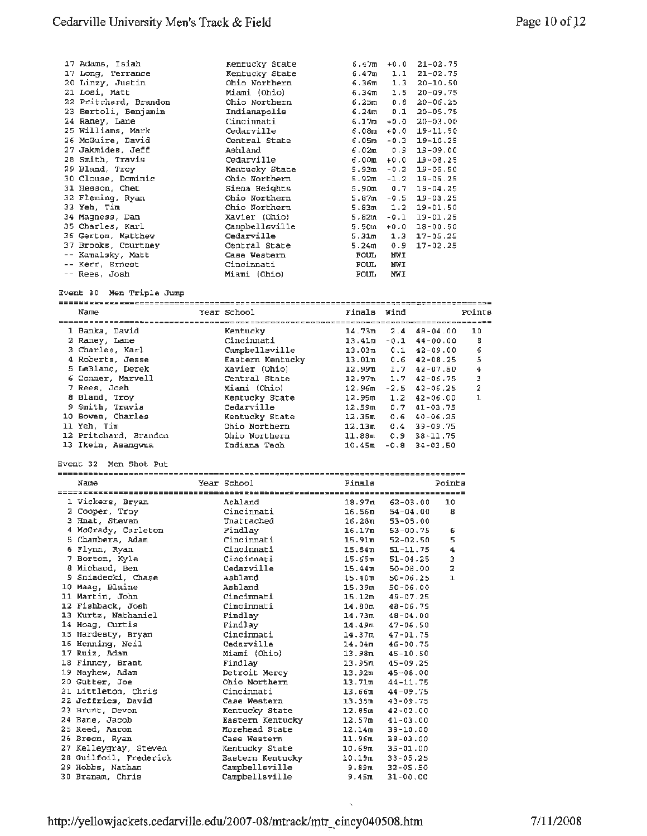| 17 Adams, Isiah       | Kentucky State | 6.47m             |        | $+0.0$ 21-02.75  |
|-----------------------|----------------|-------------------|--------|------------------|
| 17 Long, Terrance     | Kentucky State | 6.47m             | 1.1    | $21 - 02.75$     |
| 20 Linzy, Justin      | Ohio Northern  | 6.36m             |        | $1.3$ $20-10.50$ |
| 21 Losi, Matt         | Miami (Ohio)   | 6.34 <sub>π</sub> | 1.5    | $20 - 09.75$     |
| 22 Pritchard, Brandon | Ohio Northern  | 6.25m             | 0.8    | $20 - 06.25$     |
| 23 Bertoli, Benjamin  | Indianapolis   | 6.24 <sub>m</sub> | 0.1    | $20 - 05.75$     |
| 24 Raney, Lane        | Cincinnati     | 6.17m             | $+0.0$ | $20 - 03.00$     |
| 25 Williams, Mark     | Cedarville     | 6.08m             |        | $+0.0$ 19-11.50  |
| 26 McGuire, David     | Central State  | 6.05m             |        | $-0.3$ 19-10.25  |
| 27 Jakmides, Jeff     | Ashland        | 6.02m             | 0.9    | 19-09.00         |
| 28 Smith, Travis      | Cedarville     | 6.00m             | $+0.0$ | $19 - 08.25$     |
| 29 Bland, Troy        | Kentucky State | 5.93m             | $-0.2$ | $19 - 05.50$     |
| 30 Clouse, Dominic    | Ohio Northern  | 5.92m             | $-1.2$ | $19 - 05.25$     |
|                       |                |                   |        |                  |
| 31 Hesson, Chet       | Siena Heights  | 5.90m             | 0.7    | $19 - 04.25$     |
| 32 Fleming, Ryan      | Ohio Northern  | 5.87m             | $-0.5$ | $19 - 03.25$     |
| 33 Yeh, Tim           | Ohio Northern  | 5.83m             |        | $1.2$ 19-01.50   |
| 34 Magness, Dan       | Xavier (Ohio)  | 5.82m             | $-0.1$ | $19 - 01.25$     |
| 35 Charles, Karl      | Campbellsville | 5.50m             | $+0.0$ | $18 - 00.50$     |
| 36 Gerton, Matthew    | Cedarville     | 5.31m             | 1.3    | $17 - 05.25$     |
| 37 Brooks, Courtney   | Central State  | 5.24m             | 0.9    | $17 - 02.25$     |
| -- Kamalsky, Matt     | Case Western   | <b>FOUL</b>       | NWI    |                  |
| -- Kerr, Ernest       | Cincinnati     | <b>FOUL</b>       | NWI    |                  |
| -- Rees, Josh         | Miami (Ohio)   | <b>FOUL</b>       | NWI    |                  |

#### Event 30 Men Triple Jump

| -------------------   |  |                  |                    |        |                        |        |  |  |
|-----------------------|--|------------------|--------------------|--------|------------------------|--------|--|--|
| Name                  |  | Year School      | Finals Wind        |        |                        | Points |  |  |
|                       |  |                  |                    |        |                        |        |  |  |
| 1 Banks, David        |  | Kentucky         | 14.73m             | 2.4    | $48 - 04.00$           | 10     |  |  |
| 2 Raney, Lane         |  | Cincinnati       | 13.41 <sub>m</sub> |        | $-0.1$ 44-00.00        | 8      |  |  |
| 3 Charles, Karl       |  | Campbellsville   | 13.03m             | 0.1    | $42 - 09.00$           | 6      |  |  |
| 4 Roberts, Jesse      |  | Eastern Kentucky | 13.01m             |        | $0.6$ 42-08.25         | 5      |  |  |
| 5 LeBlanc, Derek      |  | Xavier (Ohio)    | 12.99 <sub>m</sub> | 1.7    | $42 - 07.50$           | 4      |  |  |
| 6 Conner, Marvell     |  | Central State    | 12.97m             | 1.7    | $42 - 06.75$           | З      |  |  |
| 7 Rees, Josh          |  | Miami (Ohio)     | 12.96 <sub>m</sub> |        | $-2.5$ $42-06.25$      | 2      |  |  |
| 8 Bland. Trov         |  | Kentucky State   | 12.95m             |        | $1.2 \quad 42 - 06.00$ | 1      |  |  |
| 9 Smith, Travis       |  | Cedarville       | 12.59m             |        | $0.7$ $41 - 03.75$     |        |  |  |
| 10 Bowen, Charles     |  | Kentucky State   | 12.35m             | 0.6    | $40 - 06.25$           |        |  |  |
| 11 Yeh, Tim           |  | Ohio Northern    | 12.13m             | 0.4    | $39 - 09.75$           |        |  |  |
| 12 Pritchard, Brandon |  | Ohio Northern    | 11.88m             |        | $0.9$ 38-11.75         |        |  |  |
| 13 Ikein, Asangwua    |  | Indiana Tech     | 10.45m             | $-0.8$ | $34 - 03.50$           |        |  |  |

#### Event 32 Men Shot Put

| Name                   | Year School      | Finals             |                     | Points                  |
|------------------------|------------------|--------------------|---------------------|-------------------------|
|                        |                  |                    |                     |                         |
| 1 Vickers, Bryan       | Ashland          |                    | $18.97m$ 62-03.00   | 10                      |
| 2 Cooper, Troy         | Cincinnati       |                    | $16.56m$ $54-04.00$ | 8                       |
| 3 Hnat, Steven         | Unattached       |                    | $16.28m$ 53-05.00   |                         |
| 4 McGrady, Carleton    | Findlay          |                    | $16.17m$ 53-00.75   | 6                       |
| 5 Chambers, Adam       | Cincinnati       |                    | $15.91m$ $52-02.50$ | 5                       |
| 6 Flynn, Ryan          | Cincinnati       |                    | $15.84m$ $51-11.75$ | $\ddot{\textbf{a}}$     |
| 7 Borton, Kyle         | Cincinnati       |                    | $15.65m$ $51-04.25$ | 3                       |
| 8 Michaud, Ben         | Cedarville       | 15.44m             | 50-08.00            | $\overline{\mathbf{z}}$ |
| 9 Sniadecki, Chase     | Ashland          |                    | $15.40m$ 50-06.25   | $\mathbf 1$             |
| 10 Maag, Blaine        | Ashland          |                    | $15.39m$ $50-06.00$ |                         |
| 11 Martin, John        | Cincinnati       |                    | $15.12m$ $49-07.25$ |                         |
| 12 Fishback, Josh      | Cincinnati       | 14.80 <sub>m</sub> | 48-06.75            |                         |
| 13 Kurtz, Nathaniel    | Findlay          | 14.73m             | 48-04.00            |                         |
| 14 Hoag, Curtis        | Findlav          | 14.49m             | 47-06.50            |                         |
| 15 Hardesty, Bryan     | Cincinnati       | 14.37m             | 47-01.75            |                         |
| 16 Henning, Neil       | Cedarville       |                    | $14.04m$ $46-00.75$ |                         |
| 17 Ruiz, Adam          | Miami (Ohio)     |                    | $13.98m$ $45-10.50$ |                         |
| 18 Finney, Brant       | Findlav          | 13.95m             | 45-09.25            |                         |
| 19 Mayhew, Adam        | Detroit Mercy    | $13.92$ m          | $45 - 08.00$        |                         |
| 20 Gutter, Joe         | Ohio Northern    | 13.71m             | $44 - 11.75$        |                         |
| 21 Littleton, Chris    | Cincinnati       | 13.66m             | $44 - 09.75$        |                         |
| 22 Jeffries, David     | Case Western     | 13.35m             | 43-09.75            |                         |
| 23 Brunt, Devon        | Kentucky State   | 12.65m             | $42 - 02.00$        |                         |
| 24 Bane, Jacob         | Eastern Kentucky | 12.57m             | $41 - 03.00$        |                         |
| 25 Reed, Aaron         | Morehead State   | 12.14m             | $39 - 10.00$        |                         |
| 26 Breon, Ryan         | Case Western     | 11.96m             | $39 - 03.00$        |                         |
| 27 Kelleygray, Steven  | Kentucky State   | 10.69m             | $35 - 01.00$        |                         |
| 28 Guilfoil, Frederick | Eastern Kentucky | 10.19m             | $33 - 05.25$        |                         |
| 29 Hobbs, Nathan       | Campbellsville   | 9.89π              | $32 - 05.50$        |                         |
| 30 Branam, Chris       | Campbellsville   | 9.45m              | $31 - 00.00$        |                         |
|                        |                  |                    |                     |                         |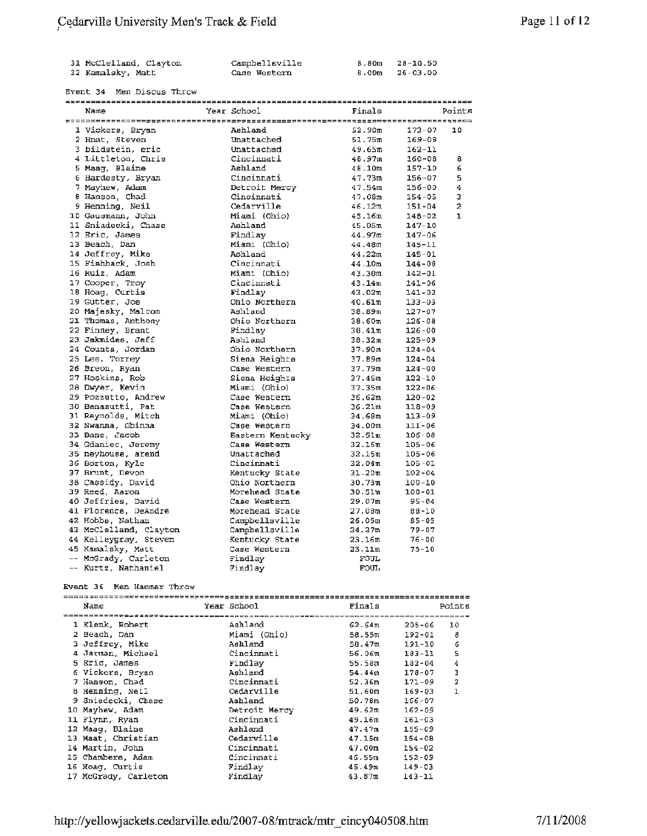| 31 McClelland, Clayton | Campbellsville | 8.80m 28-10.50     |
|------------------------|----------------|--------------------|
| 32 Kamalsky, Matt      | Case Western   | $8.00m$ $26-03.00$ |

#### Event 34 Men Discus Throw

| Name                   | Year School      | Finals              |            | Points         |
|------------------------|------------------|---------------------|------------|----------------|
|                        |                  |                     |            |                |
| 1 Vickers, Bryan       | Ashland          | 52.90m              | $173 - 07$ | 10             |
| 2 Hnat, Steven         | Unattached       | 51.75m              | $169 - 09$ |                |
| 3 bildstein, eric      | Unattached       | 49.65m              | $162 - 11$ |                |
| 4 Littleton, Chris     | Cincinnati       | 48.97m              | $160 - 08$ | 8              |
| 5 Maag, Blaine         | Ashland          | 48.10m              | $157 - 10$ | 6              |
| 6 Hardesty, Bryan      | Cincinnati       | 47.73m              | $156 - 07$ | 5.             |
| 7 Mayhew, Adam         | Detroit Mercy    | 47.54m              | 156-00     | 4              |
| 8 Hanson, Chad         | Cincinnati       | 47.08m              | $154 - 05$ | 3              |
| 9 Henning, Neil        | Cedarville       | 46.12m              | 151-04     | $\overline{a}$ |
| 10 Gausmann, John      | Miami (Ohio)     | 45.16m              | 148-02     | $\mathbf{1}$   |
| 11 Sniadecki, Chase    | Ashland          | 45.05m              | $147 - 10$ |                |
| 12 Eric, James         | Findlav          | 44.97m              | $147 - 06$ |                |
| 13 Beach, Dan          | Miami (Ohio)     | 44.48 <sub>m</sub>  | $145 - 11$ |                |
| 14 Jeffrey, Mike       | Ashland          | 44.22m              | $145 - 01$ |                |
| 15 Fishback, Josh      | Cincinnati       | 44.10m              | $144 - 08$ |                |
| 16 Ruiz, Adam          | Miami (Ohio)     | 43.30m              | $142 - 01$ |                |
| 17 Cooper, Troy        | Cincinnati       | 43.14m              | $141 - 06$ |                |
| 18 Hoag, Curtis        | Findlay          | 43.02m              | $141 - 02$ |                |
| 19 Gutter, Joe         | Ohio Northern    | 40.61m              | $133 - 03$ |                |
| 20 Majesky, Malcom     | Ashland          | 38.89m              | $127 - 07$ |                |
| 21 Thomas, Anthony     | Ohio Northern    | 38.60m              | $126 - 08$ |                |
| 22 Finney, Brant       | Findlay          | 38.41m              | $126 - 00$ |                |
| 23 Jakmides, Jeff      | Ashland          | 38.32m              | $125 - 09$ |                |
| 24 Counts, Jordan      | Ohio Northern    | 37.90m              | $124 - 04$ |                |
| 25 Lee, Torrey         | Siena Heights    | 37.89m              | $124 - 04$ |                |
| 26 Breon, Ryan         | Case Western     | 37.79m              | $124 - 00$ |                |
| 27 Hoskins, Rob        | Siena Heights    | 37.45m              | $122 - 10$ |                |
| 28 Dwyer, Kevin        | Miami (Ohio)     | 37.35m              | $122 - 06$ |                |
| 29 Pozzutto, Andrew    | Case Western     | 36.62m              | $120 - 02$ |                |
| 30 Benasutti, Pat      | Case Western     | 36.21m              | $118 - 09$ |                |
| 31 Reynolds, Mitch     | Miami (Ohio)     | 34.68m              | $113 - 09$ |                |
| 32 Nwanna, Obinna      | Case Western     | 34.00m              | $111 - 06$ |                |
| 33 Bane, Jacob         | Eastern Kentucky | 32.51m              | $106 - 08$ |                |
| 34 Gdaniec, Jeremy     | Case Western     | $32.16\overline{m}$ | $105 - 06$ |                |
| 35 neyhouse, arend     | Unattached       | 32.15m              | $105 - 06$ |                |
| 36 Borton, Kyle        | Cincinnati       | 32.04 <sub>π</sub>  | $105 - 01$ |                |
| 37 Brunt, Devon        | Kentucky State   | 31.20m              | $102 - 04$ |                |
| 38 Cassidy, David      | Ohio Northern    | 30.73m              | $100 - 10$ |                |
| 39 Reed, Aaron         | Morehead State   | 30.51m              | 100-01     |                |
| 40 Jeffries, David     | Case Western     | 29.07m              | $95 - 04$  |                |
| 41 Florence, DeAndre   | Morehead State   | 27.08m              | $88 - 10$  |                |
| 42 Hobbs, Nathan       | Campbellsville   | 26.05m              | $85 - 05$  |                |
| 43 McClelland, Clayton | Campbellsville   | 24.27m              | $79 - 07$  |                |
| 44 Kelleygray, Steven  | Kentucky State   | 23.16m              | $76 - 00$  |                |
| 45 Kamalsky, Matt      | Case Western     | 23.11m              | $75 - 10$  |                |
| -- McGrady, Carleton   | Findlay          | <b>FOUL</b>         |            |                |
| -- Kurtz, Nathaniel    | Findlay          | <b>FOUL</b>         |            |                |
|                        |                  |                     |            |                |

#### Event 36 Men Hammer Throw

|  | Name                 | Year School            | Finals                           | Points |  |  |  |
|--|----------------------|------------------------|----------------------------------|--------|--|--|--|
|  |                      | ***=*====****========= |                                  |        |  |  |  |
|  | 1 Klenk, Robert      | Ashland                | 62.64m<br>$205 - 06$             | 10     |  |  |  |
|  | 2 Beach, Dan         | Miami (Ohio)           | 58.55ա<br>192-01                 | 8      |  |  |  |
|  | 3 Jeffrey, Mike      | Ashland                | 191-10<br>58.47m                 | 6      |  |  |  |
|  | 4 Jarman, Michael    | Cincinnati             | 183-11<br>56.06π                 | 5      |  |  |  |
|  | 5 Eric, James        | Findlay                | $182 - 04$<br>55.58ա             | 4      |  |  |  |
|  | 6 Vickers, Bryan     | Ashland                | 54.44m<br>$178 - 07$             | 3      |  |  |  |
|  | 7 Hanson, Chad       | Cincinnati             | $171 - 09$<br>52.36m             | 2      |  |  |  |
|  | 8 Henning, Neil      | Cedarville             | 169-03<br>51.60m                 | 1      |  |  |  |
|  | 9 Sniadecki, Chase   | Ashland                | 166-07<br>50.78m                 |        |  |  |  |
|  | 10 Mayhew, Adam      | Detroit Mercy          | 49.62m<br>$162 - 09$             |        |  |  |  |
|  | 11 Flynn, Ryan       | Cincinnati             | $161 - 03$<br>49.16m             |        |  |  |  |
|  | 12 Maag, Blaine      | Ashland                | 47.47m<br>$155 - 09$             |        |  |  |  |
|  | 13 Maat, Christian   | Cedarville             | 47.15m<br>$154 - 08$             |        |  |  |  |
|  | 14 Martin, John      | Cincinnati             | 47.00 <sub>m</sub><br>$154 - 02$ |        |  |  |  |
|  | 15 Chambers, Adam    | Cincinnati             | $152 - 09$<br>46.55 m            |        |  |  |  |
|  | 16 Hoag, Curtis      | Findlay                | $149 - 03$<br>45.49π             |        |  |  |  |
|  | 17 McGrady, Carleton | Findlay                | $143 - 11$<br>43.87m             |        |  |  |  |